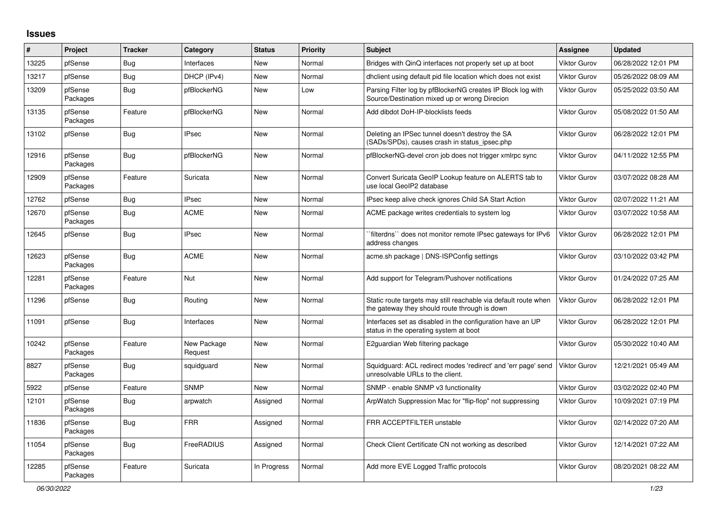## **Issues**

| #     | Project             | <b>Tracker</b> | Category               | <b>Status</b> | Priority | <b>Subject</b>                                                                                                   | <b>Assignee</b>     | <b>Updated</b>      |
|-------|---------------------|----------------|------------------------|---------------|----------|------------------------------------------------------------------------------------------------------------------|---------------------|---------------------|
| 13225 | pfSense             | Bug            | Interfaces             | <b>New</b>    | Normal   | Bridges with QinQ interfaces not properly set up at boot                                                         | <b>Viktor Gurov</b> | 06/28/2022 12:01 PM |
| 13217 | pfSense             | Bug            | DHCP (IPv4)            | New           | Normal   | dhelient using default pid file location which does not exist                                                    | <b>Viktor Gurov</b> | 05/26/2022 08:09 AM |
| 13209 | pfSense<br>Packages | Bug            | pfBlockerNG            | New           | Low      | Parsing Filter log by pfBlockerNG creates IP Block log with<br>Source/Destination mixed up or wrong Direcion     | <b>Viktor Gurov</b> | 05/25/2022 03:50 AM |
| 13135 | pfSense<br>Packages | Feature        | pfBlockerNG            | <b>New</b>    | Normal   | Add dibdot DoH-IP-blocklists feeds                                                                               | <b>Viktor Gurov</b> | 05/08/2022 01:50 AM |
| 13102 | pfSense             | Bug            | <b>IPsec</b>           | New           | Normal   | Deleting an IPSec tunnel doesn't destroy the SA<br>(SADs/SPDs), causes crash in status_ipsec.php                 | <b>Viktor Gurov</b> | 06/28/2022 12:01 PM |
| 12916 | pfSense<br>Packages | <b>Bug</b>     | pfBlockerNG            | New           | Normal   | pfBlockerNG-devel cron job does not trigger xmlrpc sync                                                          | <b>Viktor Gurov</b> | 04/11/2022 12:55 PM |
| 12909 | pfSense<br>Packages | Feature        | Suricata               | New           | Normal   | Convert Suricata GeoIP Lookup feature on ALERTS tab to<br>use local GeoIP2 database                              | <b>Viktor Gurov</b> | 03/07/2022 08:28 AM |
| 12762 | pfSense             | <b>Bug</b>     | <b>IPsec</b>           | New           | Normal   | IPsec keep alive check ignores Child SA Start Action                                                             | <b>Viktor Gurov</b> | 02/07/2022 11:21 AM |
| 12670 | pfSense<br>Packages | <b>Bug</b>     | <b>ACME</b>            | New           | Normal   | ACME package writes credentials to system log                                                                    | <b>Viktor Gurov</b> | 03/07/2022 10:58 AM |
| 12645 | pfSense             | <b>Bug</b>     | <b>IPsec</b>           | <b>New</b>    | Normal   | `filterdns`` does not monitor remote IPsec gateways for IPv6<br>address changes                                  | <b>Viktor Gurov</b> | 06/28/2022 12:01 PM |
| 12623 | pfSense<br>Packages | Bug            | <b>ACME</b>            | New           | Normal   | acme.sh package   DNS-ISPConfig settings                                                                         | <b>Viktor Gurov</b> | 03/10/2022 03:42 PM |
| 12281 | pfSense<br>Packages | Feature        | <b>Nut</b>             | <b>New</b>    | Normal   | Add support for Telegram/Pushover notifications                                                                  | <b>Viktor Gurov</b> | 01/24/2022 07:25 AM |
| 11296 | pfSense             | <b>Bug</b>     | Routing                | New           | Normal   | Static route targets may still reachable via default route when<br>the gateway they should route through is down | <b>Viktor Gurov</b> | 06/28/2022 12:01 PM |
| 11091 | pfSense             | Bug            | Interfaces             | New           | Normal   | Interfaces set as disabled in the configuration have an UP<br>status in the operating system at boot             | <b>Viktor Gurov</b> | 06/28/2022 12:01 PM |
| 10242 | pfSense<br>Packages | Feature        | New Package<br>Request | New           | Normal   | E2guardian Web filtering package                                                                                 | <b>Viktor Gurov</b> | 05/30/2022 10:40 AM |
| 8827  | pfSense<br>Packages | Bug            | squidguard             | New           | Normal   | Squidguard: ACL redirect modes 'redirect' and 'err page' send<br>unresolvable URLs to the client.                | <b>Viktor Gurov</b> | 12/21/2021 05:49 AM |
| 5922  | pfSense             | Feature        | <b>SNMP</b>            | New           | Normal   | SNMP - enable SNMP v3 functionality                                                                              | Viktor Gurov        | 03/02/2022 02:40 PM |
| 12101 | pfSense<br>Packages | Bug            | arpwatch               | Assigned      | Normal   | ArpWatch Suppression Mac for "flip-flop" not suppressing                                                         | Viktor Gurov        | 10/09/2021 07:19 PM |
| 11836 | pfSense<br>Packages | <b>Bug</b>     | <b>FRR</b>             | Assigned      | Normal   | FRR ACCEPTFILTER unstable                                                                                        | <b>Viktor Gurov</b> | 02/14/2022 07:20 AM |
| 11054 | pfSense<br>Packages | <b>Bug</b>     | FreeRADIUS             | Assigned      | Normal   | Check Client Certificate CN not working as described                                                             | <b>Viktor Gurov</b> | 12/14/2021 07:22 AM |
| 12285 | pfSense<br>Packages | Feature        | Suricata               | In Progress   | Normal   | Add more EVE Logged Traffic protocols                                                                            | <b>Viktor Gurov</b> | 08/20/2021 08:22 AM |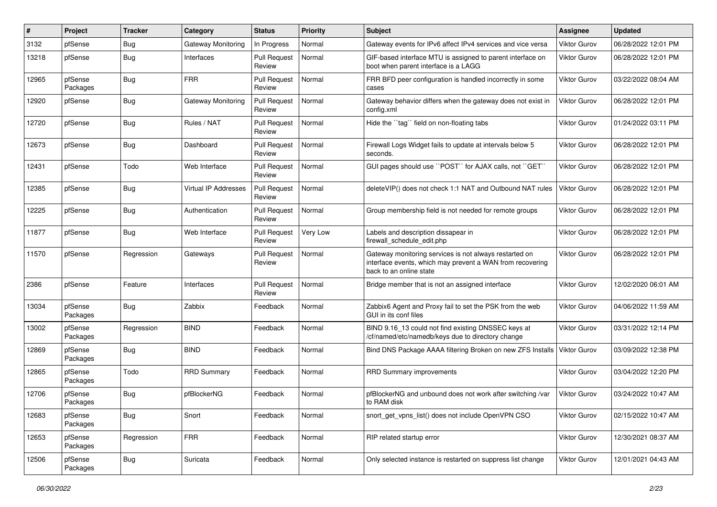| ∦     | Project             | <b>Tracker</b> | Category                    | <b>Status</b>                 | <b>Priority</b> | Subject                                                                                                                                        | Assignee            | <b>Updated</b>      |
|-------|---------------------|----------------|-----------------------------|-------------------------------|-----------------|------------------------------------------------------------------------------------------------------------------------------------------------|---------------------|---------------------|
| 3132  | pfSense             | <b>Bug</b>     | Gateway Monitoring          | In Progress                   | Normal          | Gateway events for IPv6 affect IPv4 services and vice versa                                                                                    | <b>Viktor Gurov</b> | 06/28/2022 12:01 PM |
| 13218 | pfSense             | <b>Bug</b>     | Interfaces                  | <b>Pull Request</b><br>Review | Normal          | GIF-based interface MTU is assigned to parent interface on<br>boot when parent interface is a LAGG                                             | <b>Viktor Gurov</b> | 06/28/2022 12:01 PM |
| 12965 | pfSense<br>Packages | <b>Bug</b>     | <b>FRR</b>                  | <b>Pull Request</b><br>Review | Normal          | FRR BFD peer configuration is handled incorrectly in some<br>cases                                                                             | <b>Viktor Gurov</b> | 03/22/2022 08:04 AM |
| 12920 | pfSense             | <b>Bug</b>     | Gateway Monitoring          | <b>Pull Request</b><br>Review | Normal          | Gateway behavior differs when the gateway does not exist in<br>config.xml                                                                      | <b>Viktor Gurov</b> | 06/28/2022 12:01 PM |
| 12720 | pfSense             | <b>Bug</b>     | Rules / NAT                 | <b>Pull Request</b><br>Review | Normal          | Hide the "tag" field on non-floating tabs                                                                                                      | <b>Viktor Gurov</b> | 01/24/2022 03:11 PM |
| 12673 | pfSense             | Bug            | Dashboard                   | <b>Pull Request</b><br>Review | Normal          | Firewall Logs Widget fails to update at intervals below 5<br>seconds.                                                                          | <b>Viktor Gurov</b> | 06/28/2022 12:01 PM |
| 12431 | pfSense             | Todo           | Web Interface               | <b>Pull Request</b><br>Review | Normal          | GUI pages should use "POST" for AJAX calls, not "GET"                                                                                          | <b>Viktor Gurov</b> | 06/28/2022 12:01 PM |
| 12385 | pfSense             | Bug            | <b>Virtual IP Addresses</b> | <b>Pull Request</b><br>Review | Normal          | deleteVIP() does not check 1:1 NAT and Outbound NAT rules                                                                                      | <b>Viktor Gurov</b> | 06/28/2022 12:01 PM |
| 12225 | pfSense             | <b>Bug</b>     | Authentication              | <b>Pull Request</b><br>Review | Normal          | Group membership field is not needed for remote groups                                                                                         | <b>Viktor Gurov</b> | 06/28/2022 12:01 PM |
| 11877 | pfSense             | <b>Bug</b>     | Web Interface               | <b>Pull Request</b><br>Review | Very Low        | Labels and description dissapear in<br>firewall schedule edit.php                                                                              | Viktor Gurov        | 06/28/2022 12:01 PM |
| 11570 | pfSense             | Regression     | Gateways                    | <b>Pull Request</b><br>Review | Normal          | Gateway monitoring services is not always restarted on<br>interface events, which may prevent a WAN from recovering<br>back to an online state | Viktor Gurov        | 06/28/2022 12:01 PM |
| 2386  | pfSense             | Feature        | Interfaces                  | <b>Pull Request</b><br>Review | Normal          | Bridge member that is not an assigned interface                                                                                                | <b>Viktor Gurov</b> | 12/02/2020 06:01 AM |
| 13034 | pfSense<br>Packages | <b>Bug</b>     | Zabbix                      | Feedback                      | Normal          | Zabbix6 Agent and Proxy fail to set the PSK from the web<br>GUI in its conf files                                                              | Viktor Gurov        | 04/06/2022 11:59 AM |
| 13002 | pfSense<br>Packages | Regression     | <b>BIND</b>                 | Feedback                      | Normal          | BIND 9.16_13 could not find existing DNSSEC keys at<br>/cf/named/etc/namedb/keys due to directory change                                       | <b>Viktor Gurov</b> | 03/31/2022 12:14 PM |
| 12869 | pfSense<br>Packages | <b>Bug</b>     | <b>BIND</b>                 | Feedback                      | Normal          | Bind DNS Package AAAA filtering Broken on new ZFS Installs                                                                                     | Viktor Gurov        | 03/09/2022 12:38 PM |
| 12865 | pfSense<br>Packages | Todo           | <b>RRD Summary</b>          | Feedback                      | Normal          | RRD Summary improvements                                                                                                                       | Viktor Gurov        | 03/04/2022 12:20 PM |
| 12706 | pfSense<br>Packages | <b>Bug</b>     | pfBlockerNG                 | Feedback                      | Normal          | pfBlockerNG and unbound does not work after switching /var<br>to RAM disk                                                                      | Viktor Gurov        | 03/24/2022 10:47 AM |
| 12683 | pfSense<br>Packages | <b>Bug</b>     | Snort                       | Feedback                      | Normal          | snort get vpns list() does not include OpenVPN CSO                                                                                             | Viktor Gurov        | 02/15/2022 10:47 AM |
| 12653 | pfSense<br>Packages | Regression     | <b>FRR</b>                  | Feedback                      | Normal          | RIP related startup error                                                                                                                      | Viktor Gurov        | 12/30/2021 08:37 AM |
| 12506 | pfSense<br>Packages | Bug            | Suricata                    | Feedback                      | Normal          | Only selected instance is restarted on suppress list change                                                                                    | Viktor Gurov        | 12/01/2021 04:43 AM |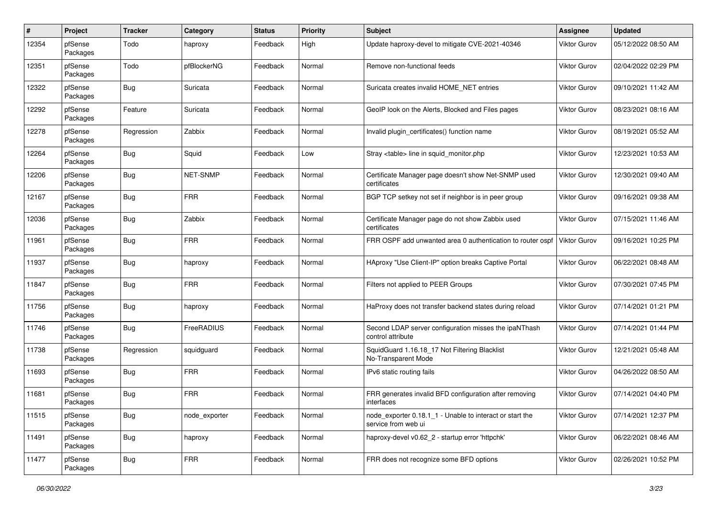| $\pmb{\#}$ | Project             | <b>Tracker</b> | Category      | <b>Status</b> | <b>Priority</b> | <b>Subject</b>                                                                  | Assignee            | <b>Updated</b>      |
|------------|---------------------|----------------|---------------|---------------|-----------------|---------------------------------------------------------------------------------|---------------------|---------------------|
| 12354      | pfSense<br>Packages | Todo           | haproxy       | Feedback      | High            | Update haproxy-devel to mitigate CVE-2021-40346                                 | <b>Viktor Gurov</b> | 05/12/2022 08:50 AM |
| 12351      | pfSense<br>Packages | Todo           | pfBlockerNG   | Feedback      | Normal          | Remove non-functional feeds                                                     | <b>Viktor Gurov</b> | 02/04/2022 02:29 PM |
| 12322      | pfSense<br>Packages | <b>Bug</b>     | Suricata      | Feedback      | Normal          | Suricata creates invalid HOME NET entries                                       | <b>Viktor Gurov</b> | 09/10/2021 11:42 AM |
| 12292      | pfSense<br>Packages | Feature        | Suricata      | Feedback      | Normal          | GeoIP look on the Alerts, Blocked and Files pages                               | <b>Viktor Gurov</b> | 08/23/2021 08:16 AM |
| 12278      | pfSense<br>Packages | Regression     | Zabbix        | Feedback      | Normal          | Invalid plugin_certificates() function name                                     | <b>Viktor Gurov</b> | 08/19/2021 05:52 AM |
| 12264      | pfSense<br>Packages | Bug            | Squid         | Feedback      | Low             | Stray <table> line in squid monitor.php</table>                                 | <b>Viktor Gurov</b> | 12/23/2021 10:53 AM |
| 12206      | pfSense<br>Packages | <b>Bug</b>     | NET-SNMP      | Feedback      | Normal          | Certificate Manager page doesn't show Net-SNMP used<br>certificates             | <b>Viktor Gurov</b> | 12/30/2021 09:40 AM |
| 12167      | pfSense<br>Packages | <b>Bug</b>     | <b>FRR</b>    | Feedback      | Normal          | BGP TCP setkey not set if neighbor is in peer group                             | <b>Viktor Gurov</b> | 09/16/2021 09:38 AM |
| 12036      | pfSense<br>Packages | <b>Bug</b>     | Zabbix        | Feedback      | Normal          | Certificate Manager page do not show Zabbix used<br>certificates                | <b>Viktor Gurov</b> | 07/15/2021 11:46 AM |
| 11961      | pfSense<br>Packages | Bug            | <b>FRR</b>    | Feedback      | Normal          | FRR OSPF add unwanted area 0 authentication to router ospf                      | <b>Viktor Gurov</b> | 09/16/2021 10:25 PM |
| 11937      | pfSense<br>Packages | <b>Bug</b>     | haproxy       | Feedback      | Normal          | HAproxy "Use Client-IP" option breaks Captive Portal                            | <b>Viktor Gurov</b> | 06/22/2021 08:48 AM |
| 11847      | pfSense<br>Packages | Bug            | <b>FRR</b>    | Feedback      | Normal          | Filters not applied to PEER Groups                                              | <b>Viktor Gurov</b> | 07/30/2021 07:45 PM |
| 11756      | pfSense<br>Packages | Bug            | haproxy       | Feedback      | Normal          | HaProxy does not transfer backend states during reload                          | <b>Viktor Gurov</b> | 07/14/2021 01:21 PM |
| 11746      | pfSense<br>Packages | <b>Bug</b>     | FreeRADIUS    | Feedback      | Normal          | Second LDAP server configuration misses the ipaNThash<br>control attribute      | Viktor Gurov        | 07/14/2021 01:44 PM |
| 11738      | pfSense<br>Packages | Regression     | squidguard    | Feedback      | Normal          | SquidGuard 1.16.18_17 Not Filtering Blacklist<br>No-Transparent Mode            | Viktor Gurov        | 12/21/2021 05:48 AM |
| 11693      | pfSense<br>Packages | <b>Bug</b>     | <b>FRR</b>    | Feedback      | Normal          | IPv6 static routing fails                                                       | <b>Viktor Gurov</b> | 04/26/2022 08:50 AM |
| 11681      | pfSense<br>Packages | <b>Bug</b>     | <b>FRR</b>    | Feedback      | Normal          | FRR generates invalid BFD configuration after removing<br>interfaces            | Viktor Gurov        | 07/14/2021 04:40 PM |
| 11515      | pfSense<br>Packages | Bug            | node exporter | Feedback      | Normal          | node_exporter 0.18.1_1 - Unable to interact or start the<br>service from web ui | Viktor Gurov        | 07/14/2021 12:37 PM |
| 11491      | pfSense<br>Packages | <b>Bug</b>     | haproxy       | Feedback      | Normal          | haproxy-devel v0.62 2 - startup error 'httpchk'                                 | Viktor Gurov        | 06/22/2021 08:46 AM |
| 11477      | pfSense<br>Packages | <b>Bug</b>     | <b>FRR</b>    | Feedback      | Normal          | FRR does not recognize some BFD options                                         | Viktor Gurov        | 02/26/2021 10:52 PM |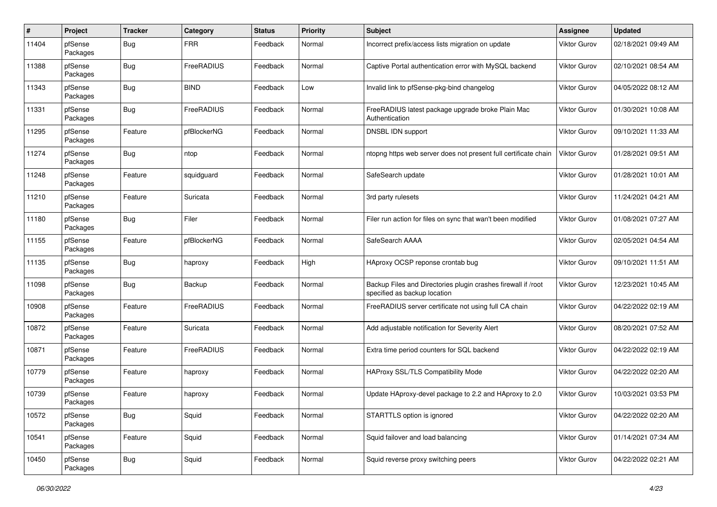| #     | Project             | <b>Tracker</b> | Category    | <b>Status</b> | <b>Priority</b> | <b>Subject</b>                                                                                | Assignee            | <b>Updated</b>      |
|-------|---------------------|----------------|-------------|---------------|-----------------|-----------------------------------------------------------------------------------------------|---------------------|---------------------|
| 11404 | pfSense<br>Packages | <b>Bug</b>     | <b>FRR</b>  | Feedback      | Normal          | Incorrect prefix/access lists migration on update                                             | <b>Viktor Gurov</b> | 02/18/2021 09:49 AM |
| 11388 | pfSense<br>Packages | <b>Bug</b>     | FreeRADIUS  | Feedback      | Normal          | Captive Portal authentication error with MySQL backend                                        | <b>Viktor Gurov</b> | 02/10/2021 08:54 AM |
| 11343 | pfSense<br>Packages | Bug            | <b>BIND</b> | Feedback      | Low             | Invalid link to pfSense-pkg-bind changelog                                                    | Viktor Gurov        | 04/05/2022 08:12 AM |
| 11331 | pfSense<br>Packages | <b>Bug</b>     | FreeRADIUS  | Feedback      | Normal          | FreeRADIUS latest package upgrade broke Plain Mac<br>Authentication                           | <b>Viktor Gurov</b> | 01/30/2021 10:08 AM |
| 11295 | pfSense<br>Packages | Feature        | pfBlockerNG | Feedback      | Normal          | DNSBL IDN support                                                                             | <b>Viktor Gurov</b> | 09/10/2021 11:33 AM |
| 11274 | pfSense<br>Packages | Bug            | ntop        | Feedback      | Normal          | ntopng https web server does not present full certificate chain                               | Viktor Gurov        | 01/28/2021 09:51 AM |
| 11248 | pfSense<br>Packages | Feature        | squidguard  | Feedback      | Normal          | SafeSearch update                                                                             | <b>Viktor Gurov</b> | 01/28/2021 10:01 AM |
| 11210 | pfSense<br>Packages | Feature        | Suricata    | Feedback      | Normal          | 3rd party rulesets                                                                            | <b>Viktor Gurov</b> | 11/24/2021 04:21 AM |
| 11180 | pfSense<br>Packages | <b>Bug</b>     | Filer       | Feedback      | Normal          | Filer run action for files on sync that wan't been modified                                   | <b>Viktor Gurov</b> | 01/08/2021 07:27 AM |
| 11155 | pfSense<br>Packages | Feature        | pfBlockerNG | Feedback      | Normal          | SafeSearch AAAA                                                                               | Viktor Gurov        | 02/05/2021 04:54 AM |
| 11135 | pfSense<br>Packages | <b>Bug</b>     | haproxy     | Feedback      | High            | HAproxy OCSP reponse crontab bug                                                              | <b>Viktor Gurov</b> | 09/10/2021 11:51 AM |
| 11098 | pfSense<br>Packages | <b>Bug</b>     | Backup      | Feedback      | Normal          | Backup Files and Directories plugin crashes firewall if /root<br>specified as backup location | <b>Viktor Gurov</b> | 12/23/2021 10:45 AM |
| 10908 | pfSense<br>Packages | Feature        | FreeRADIUS  | Feedback      | Normal          | FreeRADIUS server certificate not using full CA chain                                         | Viktor Gurov        | 04/22/2022 02:19 AM |
| 10872 | pfSense<br>Packages | Feature        | Suricata    | Feedback      | Normal          | Add adjustable notification for Severity Alert                                                | Viktor Gurov        | 08/20/2021 07:52 AM |
| 10871 | pfSense<br>Packages | Feature        | FreeRADIUS  | Feedback      | Normal          | Extra time period counters for SQL backend                                                    | Viktor Gurov        | 04/22/2022 02:19 AM |
| 10779 | pfSense<br>Packages | Feature        | haproxy     | Feedback      | Normal          | <b>HAProxy SSL/TLS Compatibility Mode</b>                                                     | <b>Viktor Gurov</b> | 04/22/2022 02:20 AM |
| 10739 | pfSense<br>Packages | Feature        | haproxy     | Feedback      | Normal          | Update HAproxy-devel package to 2.2 and HAproxy to 2.0                                        | Viktor Gurov        | 10/03/2021 03:53 PM |
| 10572 | pfSense<br>Packages | <b>Bug</b>     | Squid       | Feedback      | Normal          | STARTTLS option is ignored                                                                    | Viktor Gurov        | 04/22/2022 02:20 AM |
| 10541 | pfSense<br>Packages | Feature        | Squid       | Feedback      | Normal          | Squid failover and load balancing                                                             | Viktor Gurov        | 01/14/2021 07:34 AM |
| 10450 | pfSense<br>Packages | <b>Bug</b>     | Squid       | Feedback      | Normal          | Squid reverse proxy switching peers                                                           | Viktor Gurov        | 04/22/2022 02:21 AM |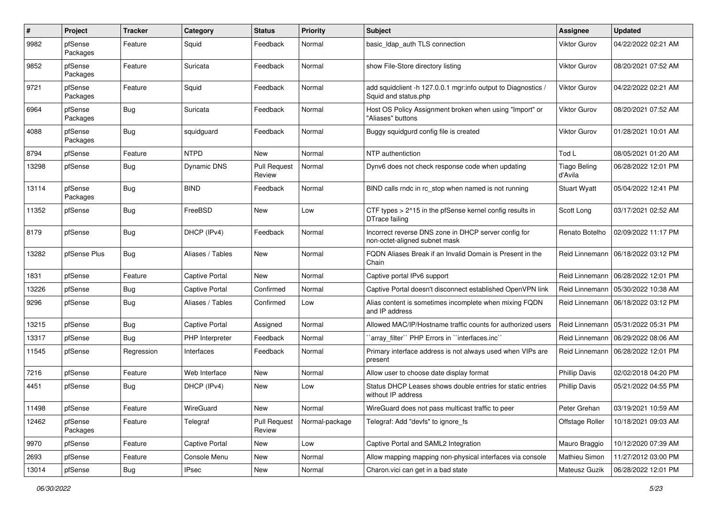| $\pmb{\#}$ | Project             | <b>Tracker</b> | Category              | <b>Status</b>                 | <b>Priority</b> | Subject                                                                               | <b>Assignee</b>                | <b>Updated</b>                       |
|------------|---------------------|----------------|-----------------------|-------------------------------|-----------------|---------------------------------------------------------------------------------------|--------------------------------|--------------------------------------|
| 9982       | pfSense<br>Packages | Feature        | Squid                 | Feedback                      | Normal          | basic_Idap_auth TLS connection                                                        | Viktor Gurov                   | 04/22/2022 02:21 AM                  |
| 9852       | pfSense<br>Packages | Feature        | Suricata              | Feedback                      | Normal          | show File-Store directory listing                                                     | <b>Viktor Gurov</b>            | 08/20/2021 07:52 AM                  |
| 9721       | pfSense<br>Packages | Feature        | Squid                 | Feedback                      | Normal          | add squidclient -h 127.0.0.1 mgr:info output to Diagnostics /<br>Squid and status.php | Viktor Gurov                   | 04/22/2022 02:21 AM                  |
| 6964       | pfSense<br>Packages | <b>Bug</b>     | Suricata              | Feedback                      | Normal          | Host OS Policy Assignment broken when using "Import" or<br>"Aliases" buttons          | <b>Viktor Gurov</b>            | 08/20/2021 07:52 AM                  |
| 4088       | pfSense<br>Packages | Bug            | squidguard            | Feedback                      | Normal          | Buggy squidgurd config file is created                                                | <b>Viktor Gurov</b>            | 01/28/2021 10:01 AM                  |
| 8794       | pfSense             | Feature        | <b>NTPD</b>           | New                           | Normal          | NTP authentiction                                                                     | Tod L                          | 08/05/2021 01:20 AM                  |
| 13298      | pfSense             | <b>Bug</b>     | <b>Dynamic DNS</b>    | <b>Pull Request</b><br>Review | Normal          | Dynv6 does not check response code when updating                                      | <b>Tiago Beling</b><br>d'Avila | 06/28/2022 12:01 PM                  |
| 13114      | pfSense<br>Packages | <b>Bug</b>     | <b>BIND</b>           | Feedback                      | Normal          | BIND calls rndc in rc stop when named is not running                                  | <b>Stuart Wyatt</b>            | 05/04/2022 12:41 PM                  |
| 11352      | pfSense             | <b>Bug</b>     | FreeBSD               | <b>New</b>                    | Low             | CTF types > 2^15 in the pfSense kernel config results in<br>DTrace failing            | Scott Long                     | 03/17/2021 02:52 AM                  |
| 8179       | pfSense             | <b>Bug</b>     | DHCP (IPv4)           | Feedback                      | Normal          | Incorrect reverse DNS zone in DHCP server config for<br>non-octet-aligned subnet mask | Renato Botelho                 | 02/09/2022 11:17 PM                  |
| 13282      | pfSense Plus        | <b>Bug</b>     | Aliases / Tables      | New                           | Normal          | FQDN Aliases Break if an Invalid Domain is Present in the<br>Chain                    | Reid Linnemann                 | 06/18/2022 03:12 PM                  |
| 1831       | pfSense             | Feature        | <b>Captive Portal</b> | New                           | Normal          | Captive portal IPv6 support                                                           |                                | Reid Linnemann   06/28/2022 12:01 PM |
| 13226      | pfSense             | <b>Bug</b>     | <b>Captive Portal</b> | Confirmed                     | Normal          | Captive Portal doesn't disconnect established OpenVPN link                            | Reid Linnemann                 | 05/30/2022 10:38 AM                  |
| 9296       | pfSense             | <b>Bug</b>     | Aliases / Tables      | Confirmed                     | Low             | Alias content is sometimes incomplete when mixing FQDN<br>and IP address              |                                | Reid Linnemann   06/18/2022 03:12 PM |
| 13215      | pfSense             | Bug            | <b>Captive Portal</b> | Assigned                      | Normal          | Allowed MAC/IP/Hostname traffic counts for authorized users                           |                                | Reid Linnemann   05/31/2022 05:31 PM |
| 13317      | pfSense             | <b>Bug</b>     | PHP Interpreter       | Feedback                      | Normal          | `array_filter`` PHP Errors in ``interfaces.inc``                                      | Reid Linnemann                 | 06/29/2022 08:06 AM                  |
| 11545      | pfSense             | Regression     | Interfaces            | Feedback                      | Normal          | Primary interface address is not always used when VIPs are<br>present                 | Reid Linnemann                 | 06/28/2022 12:01 PM                  |
| 7216       | pfSense             | Feature        | Web Interface         | New                           | Normal          | Allow user to choose date display format                                              | <b>Phillip Davis</b>           | 02/02/2018 04:20 PM                  |
| 4451       | pfSense             | <b>Bug</b>     | DHCP (IPv4)           | New                           | Low             | Status DHCP Leases shows double entries for static entries<br>without IP address      | <b>Phillip Davis</b>           | 05/21/2022 04:55 PM                  |
| 11498      | pfSense             | Feature        | WireGuard             | New                           | Normal          | WireGuard does not pass multicast traffic to peer                                     | Peter Grehan                   | 03/19/2021 10:59 AM                  |
| 12462      | pfSense<br>Packages | Feature        | Telegraf              | <b>Pull Request</b><br>Review | Normal-package  | Telegraf: Add "devfs" to ignore fs                                                    | Offstage Roller                | 10/18/2021 09:03 AM                  |
| 9970       | pfSense             | Feature        | Captive Portal        | New                           | Low             | Captive Portal and SAML2 Integration                                                  | Mauro Braggio                  | 10/12/2020 07:39 AM                  |
| 2693       | pfSense             | Feature        | Console Menu          | New                           | Normal          | Allow mapping mapping non-physical interfaces via console                             | Mathieu Simon                  | 11/27/2012 03:00 PM                  |
| 13014      | pfSense             | Bug            | <b>IPsec</b>          | New                           | Normal          | Charon.vici can get in a bad state                                                    | Mateusz Guzik                  | 06/28/2022 12:01 PM                  |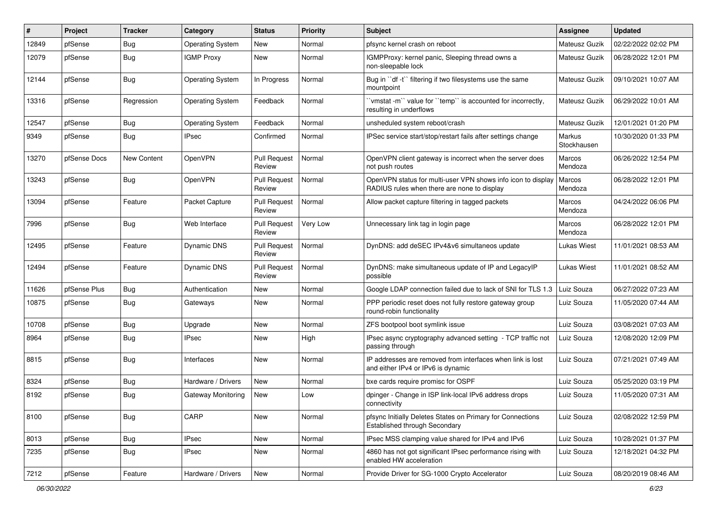| #     | Project      | <b>Tracker</b> | Category                | <b>Status</b>                 | <b>Priority</b> | <b>Subject</b>                                                                                              | <b>Assignee</b>       | <b>Updated</b>      |
|-------|--------------|----------------|-------------------------|-------------------------------|-----------------|-------------------------------------------------------------------------------------------------------------|-----------------------|---------------------|
| 12849 | pfSense      | Bug            | <b>Operating System</b> | New                           | Normal          | pfsync kernel crash on reboot                                                                               | Mateusz Guzik         | 02/22/2022 02:02 PM |
| 12079 | pfSense      | <b>Bug</b>     | <b>IGMP Proxy</b>       | New                           | Normal          | IGMPProxy: kernel panic, Sleeping thread owns a<br>non-sleepable lock                                       | Mateusz Guzik         | 06/28/2022 12:01 PM |
| 12144 | pfSense      | <b>Bug</b>     | <b>Operating System</b> | In Progress                   | Normal          | Bug in "df -t" filtering if two filesystems use the same<br>mountpoint                                      | Mateusz Guzik         | 09/10/2021 10:07 AM |
| 13316 | pfSense      | Regression     | <b>Operating System</b> | Feedback                      | Normal          | 'vmstat -m'' value for ''temp'' is accounted for incorrectly,<br>resulting in underflows                    | Mateusz Guzik         | 06/29/2022 10:01 AM |
| 12547 | pfSense      | <b>Bug</b>     | <b>Operating System</b> | Feedback                      | Normal          | unsheduled system reboot/crash                                                                              | Mateusz Guzik         | 12/01/2021 01:20 PM |
| 9349  | pfSense      | Bug            | IPsec                   | Confirmed                     | Normal          | IPSec service start/stop/restart fails after settings change                                                | Markus<br>Stockhausen | 10/30/2020 01:33 PM |
| 13270 | pfSense Docs | New Content    | OpenVPN                 | <b>Pull Request</b><br>Review | Normal          | OpenVPN client gateway is incorrect when the server does<br>not push routes                                 | Marcos<br>Mendoza     | 06/26/2022 12:54 PM |
| 13243 | pfSense      | <b>Bug</b>     | OpenVPN                 | <b>Pull Request</b><br>Review | Normal          | OpenVPN status for multi-user VPN shows info icon to display<br>RADIUS rules when there are none to display | Marcos<br>Mendoza     | 06/28/2022 12:01 PM |
| 13094 | pfSense      | Feature        | Packet Capture          | <b>Pull Request</b><br>Review | Normal          | Allow packet capture filtering in tagged packets                                                            | Marcos<br>Mendoza     | 04/24/2022 06:06 PM |
| 7996  | pfSense      | <b>Bug</b>     | Web Interface           | <b>Pull Request</b><br>Review | Very Low        | Unnecessary link tag in login page                                                                          | Marcos<br>Mendoza     | 06/28/2022 12:01 PM |
| 12495 | pfSense      | Feature        | Dynamic DNS             | <b>Pull Request</b><br>Review | Normal          | DynDNS: add deSEC IPv4&v6 simultaneos update                                                                | Lukas Wiest           | 11/01/2021 08:53 AM |
| 12494 | pfSense      | Feature        | Dynamic DNS             | <b>Pull Request</b><br>Review | Normal          | DynDNS: make simultaneous update of IP and LegacyIP<br>possible                                             | <b>Lukas Wiest</b>    | 11/01/2021 08:52 AM |
| 11626 | pfSense Plus | <b>Bug</b>     | Authentication          | New                           | Normal          | Google LDAP connection failed due to lack of SNI for TLS 1.3                                                | Luiz Souza            | 06/27/2022 07:23 AM |
| 10875 | pfSense      | Bug            | Gateways                | New                           | Normal          | PPP periodic reset does not fully restore gateway group<br>round-robin functionality                        | Luiz Souza            | 11/05/2020 07:44 AM |
| 10708 | pfSense      | <b>Bug</b>     | Upgrade                 | New                           | Normal          | ZFS bootpool boot symlink issue                                                                             | Luiz Souza            | 03/08/2021 07:03 AM |
| 8964  | pfSense      | <b>Bug</b>     | IPsec                   | New                           | High            | IPsec async cryptography advanced setting - TCP traffic not<br>passing through                              | Luiz Souza            | 12/08/2020 12:09 PM |
| 8815  | pfSense      | <b>Bug</b>     | Interfaces              | New                           | Normal          | IP addresses are removed from interfaces when link is lost<br>and either IPv4 or IPv6 is dynamic            | Luiz Souza            | 07/21/2021 07:49 AM |
| 8324  | pfSense      | <b>Bug</b>     | Hardware / Drivers      | New                           | Normal          | bxe cards require promisc for OSPF                                                                          | Luiz Souza            | 05/25/2020 03:19 PM |
| 8192  | pfSense      | <b>Bug</b>     | Gateway Monitoring      | New                           | Low             | dpinger - Change in ISP link-local IPv6 address drops<br>connectivity                                       | Luiz Souza            | 11/05/2020 07:31 AM |
| 8100  | pfSense      | Bug            | CARP                    | New                           | Normal          | pfsync Initially Deletes States on Primary for Connections<br>Established through Secondary                 | Luiz Souza            | 02/08/2022 12:59 PM |
| 8013  | pfSense      | Bug            | <b>IPsec</b>            | New                           | Normal          | IPsec MSS clamping value shared for IPv4 and IPv6                                                           | Luiz Souza            | 10/28/2021 01:37 PM |
| 7235  | pfSense      | <b>Bug</b>     | <b>IPsec</b>            | New                           | Normal          | 4860 has not got significant IPsec performance rising with<br>enabled HW acceleration                       | Luiz Souza            | 12/18/2021 04:32 PM |
| 7212  | pfSense      | Feature        | Hardware / Drivers      | New                           | Normal          | Provide Driver for SG-1000 Crypto Accelerator                                                               | Luiz Souza            | 08/20/2019 08:46 AM |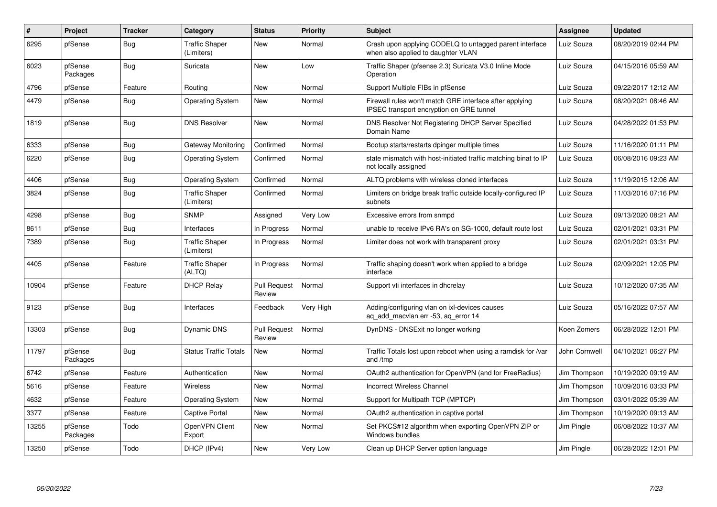| #     | Project             | <b>Tracker</b> | Category                            | <b>Status</b>                 | Priority  | <b>Subject</b>                                                                                             | Assignee      | <b>Updated</b>      |
|-------|---------------------|----------------|-------------------------------------|-------------------------------|-----------|------------------------------------------------------------------------------------------------------------|---------------|---------------------|
| 6295  | pfSense             | Bug            | <b>Traffic Shaper</b><br>(Limiters) | <b>New</b>                    | Normal    | Crash upon applying CODELQ to untagged parent interface<br>when also applied to daughter VLAN              | Luiz Souza    | 08/20/2019 02:44 PM |
| 6023  | pfSense<br>Packages | <b>Bug</b>     | Suricata                            | New                           | Low       | Traffic Shaper (pfsense 2.3) Suricata V3.0 Inline Mode<br>Operation                                        | Luiz Souza    | 04/15/2016 05:59 AM |
| 4796  | pfSense             | Feature        | Routing                             | New                           | Normal    | Support Multiple FIBs in pfSense                                                                           | Luiz Souza    | 09/22/2017 12:12 AM |
| 4479  | pfSense             | Bug            | <b>Operating System</b>             | New                           | Normal    | Firewall rules won't match GRE interface after applying<br><b>IPSEC</b> transport encryption on GRE tunnel | Luiz Souza    | 08/20/2021 08:46 AM |
| 1819  | pfSense             | Bug            | <b>DNS Resolver</b>                 | <b>New</b>                    | Normal    | DNS Resolver Not Registering DHCP Server Specified<br>Domain Name                                          | Luiz Souza    | 04/28/2022 01:53 PM |
| 6333  | pfSense             | <b>Bug</b>     | Gateway Monitoring                  | Confirmed                     | Normal    | Bootup starts/restarts dpinger multiple times                                                              | Luiz Souza    | 11/16/2020 01:11 PM |
| 6220  | pfSense             | <b>Bug</b>     | <b>Operating System</b>             | Confirmed                     | Normal    | state mismatch with host-initiated traffic matching binat to IP<br>not locally assigned                    | Luiz Souza    | 06/08/2016 09:23 AM |
| 4406  | pfSense             | Bug            | <b>Operating System</b>             | Confirmed                     | Normal    | ALTQ problems with wireless cloned interfaces                                                              | Luiz Souza    | 11/19/2015 12:06 AM |
| 3824  | pfSense             | <b>Bug</b>     | <b>Traffic Shaper</b><br>(Limiters) | Confirmed                     | Normal    | Limiters on bridge break traffic outside locally-configured IP<br>subnets                                  | Luiz Souza    | 11/03/2016 07:16 PM |
| 4298  | pfSense             | Bug            | <b>SNMP</b>                         | Assigned                      | Very Low  | Excessive errors from snmpd                                                                                | Luiz Souza    | 09/13/2020 08:21 AM |
| 8611  | pfSense             | <b>Bug</b>     | Interfaces                          | In Progress                   | Normal    | unable to receive IPv6 RA's on SG-1000, default route lost                                                 | Luiz Souza    | 02/01/2021 03:31 PM |
| 7389  | pfSense             | Bug            | <b>Traffic Shaper</b><br>(Limiters) | In Progress                   | Normal    | Limiter does not work with transparent proxy                                                               | Luiz Souza    | 02/01/2021 03:31 PM |
| 4405  | pfSense             | Feature        | <b>Traffic Shaper</b><br>(ALTQ)     | In Progress                   | Normal    | Traffic shaping doesn't work when applied to a bridge<br>interface                                         | Luiz Souza    | 02/09/2021 12:05 PM |
| 10904 | pfSense             | Feature        | <b>DHCP Relay</b>                   | <b>Pull Request</b><br>Review | Normal    | Support vti interfaces in dhcrelay                                                                         | Luiz Souza    | 10/12/2020 07:35 AM |
| 9123  | pfSense             | <b>Bug</b>     | Interfaces                          | Feedback                      | Very High | Adding/configuring vlan on ixl-devices causes<br>ag add macvlan err -53, ag error 14                       | Luiz Souza    | 05/16/2022 07:57 AM |
| 13303 | pfSense             | Bug            | Dynamic DNS                         | <b>Pull Request</b><br>Review | Normal    | DynDNS - DNSExit no longer working                                                                         | Koen Zomers   | 06/28/2022 12:01 PM |
| 11797 | pfSense<br>Packages | <b>Bug</b>     | <b>Status Traffic Totals</b>        | New                           | Normal    | Traffic Totals lost upon reboot when using a ramdisk for /var<br>and /tmp                                  | John Cornwell | 04/10/2021 06:27 PM |
| 6742  | pfSense             | Feature        | Authentication                      | New                           | Normal    | OAuth2 authentication for OpenVPN (and for FreeRadius)                                                     | Jim Thompson  | 10/19/2020 09:19 AM |
| 5616  | pfSense             | Feature        | <b>Wireless</b>                     | New                           | Normal    | <b>Incorrect Wireless Channel</b>                                                                          | Jim Thompson  | 10/09/2016 03:33 PM |
| 4632  | pfSense             | Feature        | <b>Operating System</b>             | New                           | Normal    | Support for Multipath TCP (MPTCP)                                                                          | Jim Thompson  | 03/01/2022 05:39 AM |
| 3377  | pfSense             | Feature        | <b>Captive Portal</b>               | New                           | Normal    | OAuth2 authentication in captive portal                                                                    | Jim Thompson  | 10/19/2020 09:13 AM |
| 13255 | pfSense<br>Packages | Todo           | OpenVPN Client<br>Export            | New                           | Normal    | Set PKCS#12 algorithm when exporting OpenVPN ZIP or<br>Windows bundles                                     | Jim Pingle    | 06/08/2022 10:37 AM |
| 13250 | pfSense             | Todo           | DHCP (IPv4)                         | New                           | Very Low  | Clean up DHCP Server option language                                                                       | Jim Pingle    | 06/28/2022 12:01 PM |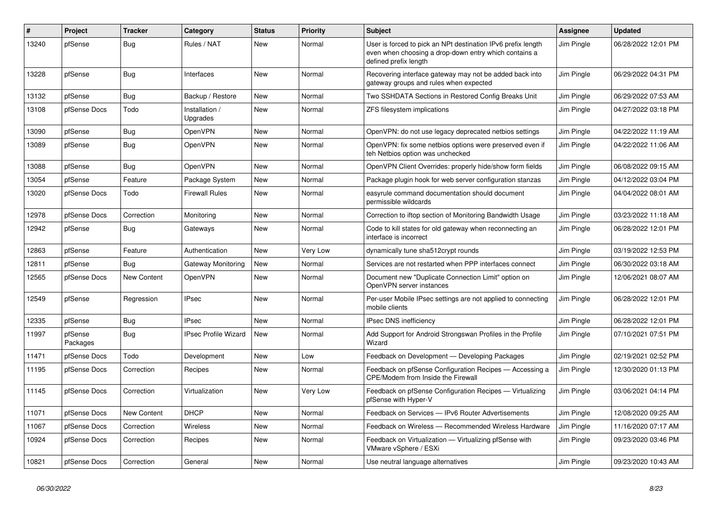| #     | Project             | <b>Tracker</b>     | Category                   | <b>Status</b> | <b>Priority</b> | <b>Subject</b>                                                                                                                                 | Assignee   | Updated             |
|-------|---------------------|--------------------|----------------------------|---------------|-----------------|------------------------------------------------------------------------------------------------------------------------------------------------|------------|---------------------|
| 13240 | pfSense             | Bug                | Rules / NAT                | New           | Normal          | User is forced to pick an NPt destination IPv6 prefix length<br>even when choosing a drop-down entry which contains a<br>defined prefix length | Jim Pingle | 06/28/2022 12:01 PM |
| 13228 | pfSense             | <b>Bug</b>         | Interfaces                 | New           | Normal          | Recovering interface gateway may not be added back into<br>gateway groups and rules when expected                                              | Jim Pingle | 06/29/2022 04:31 PM |
| 13132 | pfSense             | Bug                | Backup / Restore           | New           | Normal          | Two SSHDATA Sections in Restored Config Breaks Unit                                                                                            | Jim Pingle | 06/29/2022 07:53 AM |
| 13108 | pfSense Docs        | Todo               | Installation /<br>Upgrades | New           | Normal          | ZFS filesystem implications                                                                                                                    | Jim Pingle | 04/27/2022 03:18 PM |
| 13090 | pfSense             | <b>Bug</b>         | OpenVPN                    | New           | Normal          | OpenVPN: do not use legacy deprecated netbios settings                                                                                         | Jim Pingle | 04/22/2022 11:19 AM |
| 13089 | pfSense             | <b>Bug</b>         | OpenVPN                    | New           | Normal          | OpenVPN: fix some netbios options were preserved even if<br>teh Netbios option was unchecked                                                   | Jim Pingle | 04/22/2022 11:06 AM |
| 13088 | pfSense             | <b>Bug</b>         | OpenVPN                    | New           | Normal          | OpenVPN Client Overrides: properly hide/show form fields                                                                                       | Jim Pingle | 06/08/2022 09:15 AM |
| 13054 | pfSense             | Feature            | Package System             | New           | Normal          | Package plugin hook for web server configuration stanzas                                                                                       | Jim Pingle | 04/12/2022 03:04 PM |
| 13020 | pfSense Docs        | Todo               | <b>Firewall Rules</b>      | New           | Normal          | easyrule command documentation should document<br>permissible wildcards                                                                        | Jim Pingle | 04/04/2022 08:01 AM |
| 12978 | pfSense Docs        | Correction         | Monitoring                 | <b>New</b>    | Normal          | Correction to iftop section of Monitoring Bandwidth Usage                                                                                      | Jim Pingle | 03/23/2022 11:18 AM |
| 12942 | pfSense             | Bug                | Gateways                   | <b>New</b>    | Normal          | Code to kill states for old gateway when reconnecting an<br>interface is incorrect                                                             | Jim Pingle | 06/28/2022 12:01 PM |
| 12863 | pfSense             | Feature            | Authentication             | New           | Very Low        | dynamically tune sha512crypt rounds                                                                                                            | Jim Pingle | 03/19/2022 12:53 PM |
| 12811 | pfSense             | Bug                | Gateway Monitoring         | New           | Normal          | Services are not restarted when PPP interfaces connect                                                                                         | Jim Pingle | 06/30/2022 03:18 AM |
| 12565 | pfSense Docs        | New Content        | OpenVPN                    | New           | Normal          | Document new "Duplicate Connection Limit" option on<br>OpenVPN server instances                                                                | Jim Pingle | 12/06/2021 08:07 AM |
| 12549 | pfSense             | Regression         | <b>IPsec</b>               | New           | Normal          | Per-user Mobile IPsec settings are not applied to connecting<br>mobile clients                                                                 | Jim Pingle | 06/28/2022 12:01 PM |
| 12335 | pfSense             | Bug                | <b>IPsec</b>               | New           | Normal          | <b>IPsec DNS inefficiency</b>                                                                                                                  | Jim Pingle | 06/28/2022 12:01 PM |
| 11997 | pfSense<br>Packages | Bug                | IPsec Profile Wizard       | New           | Normal          | Add Support for Android Strongswan Profiles in the Profile<br>Wizard                                                                           | Jim Pingle | 07/10/2021 07:51 PM |
| 11471 | pfSense Docs        | Todo               | Development                | New           | Low             | Feedback on Development - Developing Packages                                                                                                  | Jim Pingle | 02/19/2021 02:52 PM |
| 11195 | pfSense Docs        | Correction         | Recipes                    | New           | Normal          | Feedback on pfSense Configuration Recipes - Accessing a<br>CPE/Modem from Inside the Firewall                                                  | Jim Pingle | 12/30/2020 01:13 PM |
| 11145 | pfSense Docs        | Correction         | Virtualization             | New           | Very Low        | Feedback on pfSense Configuration Recipes - Virtualizing<br>pfSense with Hyper-V                                                               | Jim Pingle | 03/06/2021 04:14 PM |
| 11071 | pfSense Docs        | <b>New Content</b> | <b>DHCP</b>                | <b>New</b>    | Normal          | Feedback on Services - IPv6 Router Advertisements                                                                                              | Jim Pingle | 12/08/2020 09:25 AM |
| 11067 | pfSense Docs        | Correction         | Wireless                   | <b>New</b>    | Normal          | Feedback on Wireless - Recommended Wireless Hardware                                                                                           | Jim Pingle | 11/16/2020 07:17 AM |
| 10924 | pfSense Docs        | Correction         | Recipes                    | New           | Normal          | Feedback on Virtualization - Virtualizing pfSense with<br>VMware vSphere / ESXi                                                                | Jim Pingle | 09/23/2020 03:46 PM |
| 10821 | pfSense Docs        | Correction         | General                    | New           | Normal          | Use neutral language alternatives                                                                                                              | Jim Pingle | 09/23/2020 10:43 AM |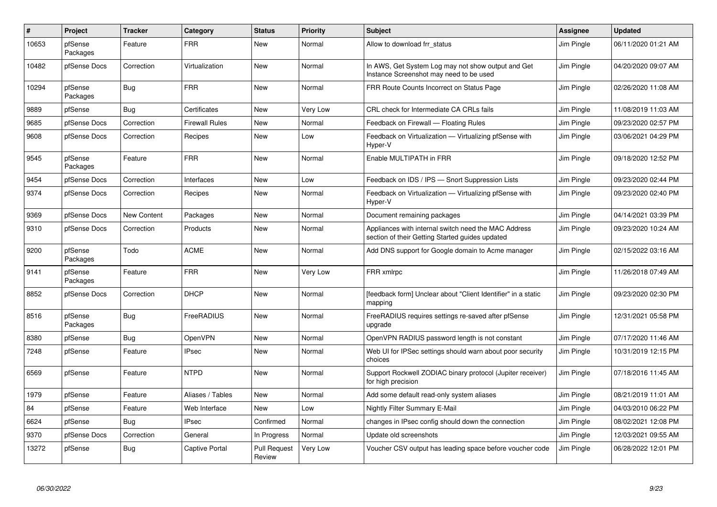| #     | Project             | <b>Tracker</b> | Category              | <b>Status</b>                 | <b>Priority</b> | <b>Subject</b>                                                                                          | Assignee   | <b>Updated</b>      |
|-------|---------------------|----------------|-----------------------|-------------------------------|-----------------|---------------------------------------------------------------------------------------------------------|------------|---------------------|
| 10653 | pfSense<br>Packages | Feature        | <b>FRR</b>            | <b>New</b>                    | Normal          | Allow to download frr status                                                                            | Jim Pingle | 06/11/2020 01:21 AM |
| 10482 | pfSense Docs        | Correction     | Virtualization        | New                           | Normal          | In AWS, Get System Log may not show output and Get<br>Instance Screenshot may need to be used           | Jim Pingle | 04/20/2020 09:07 AM |
| 10294 | pfSense<br>Packages | Bug            | <b>FRR</b>            | <b>New</b>                    | Normal          | FRR Route Counts Incorrect on Status Page                                                               | Jim Pingle | 02/26/2020 11:08 AM |
| 9889  | pfSense             | <b>Bug</b>     | Certificates          | New                           | Very Low        | CRL check for Intermediate CA CRLs fails                                                                | Jim Pingle | 11/08/2019 11:03 AM |
| 9685  | pfSense Docs        | Correction     | <b>Firewall Rules</b> | New                           | Normal          | Feedback on Firewall - Floating Rules                                                                   | Jim Pingle | 09/23/2020 02:57 PM |
| 9608  | pfSense Docs        | Correction     | Recipes               | New                           | Low             | Feedback on Virtualization - Virtualizing pfSense with<br>Hyper-V                                       | Jim Pingle | 03/06/2021 04:29 PM |
| 9545  | pfSense<br>Packages | Feature        | <b>FRR</b>            | New                           | Normal          | Enable MULTIPATH in FRR                                                                                 | Jim Pingle | 09/18/2020 12:52 PM |
| 9454  | pfSense Docs        | Correction     | Interfaces            | <b>New</b>                    | Low             | Feedback on IDS / IPS - Snort Suppression Lists                                                         | Jim Pingle | 09/23/2020 02:44 PM |
| 9374  | pfSense Docs        | Correction     | Recipes               | New                           | Normal          | Feedback on Virtualization - Virtualizing pfSense with<br>Hyper-V                                       | Jim Pingle | 09/23/2020 02:40 PM |
| 9369  | pfSense Docs        | New Content    | Packages              | New                           | Normal          | Document remaining packages                                                                             | Jim Pingle | 04/14/2021 03:39 PM |
| 9310  | pfSense Docs        | Correction     | Products              | New                           | Normal          | Appliances with internal switch need the MAC Address<br>section of their Getting Started guides updated | Jim Pingle | 09/23/2020 10:24 AM |
| 9200  | pfSense<br>Packages | Todo           | <b>ACME</b>           | <b>New</b>                    | Normal          | Add DNS support for Google domain to Acme manager                                                       | Jim Pingle | 02/15/2022 03:16 AM |
| 9141  | pfSense<br>Packages | Feature        | <b>FRR</b>            | New                           | Very Low        | FRR xmlrpc                                                                                              | Jim Pingle | 11/26/2018 07:49 AM |
| 8852  | pfSense Docs        | Correction     | <b>DHCP</b>           | New                           | Normal          | [feedback form] Unclear about "Client Identifier" in a static<br>mapping                                | Jim Pingle | 09/23/2020 02:30 PM |
| 8516  | pfSense<br>Packages | Bug            | FreeRADIUS            | <b>New</b>                    | Normal          | FreeRADIUS requires settings re-saved after pfSense<br>upgrade                                          | Jim Pingle | 12/31/2021 05:58 PM |
| 8380  | pfSense             | Bug            | OpenVPN               | New                           | Normal          | OpenVPN RADIUS password length is not constant                                                          | Jim Pingle | 07/17/2020 11:46 AM |
| 7248  | pfSense             | Feature        | <b>IPsec</b>          | <b>New</b>                    | Normal          | Web UI for IPSec settings should warn about poor security<br>choices                                    | Jim Pingle | 10/31/2019 12:15 PM |
| 6569  | pfSense             | Feature        | <b>NTPD</b>           | <b>New</b>                    | Normal          | Support Rockwell ZODIAC binary protocol (Jupiter receiver)<br>for high precision                        | Jim Pingle | 07/18/2016 11:45 AM |
| 1979  | pfSense             | Feature        | Aliases / Tables      | New                           | Normal          | Add some default read-only system aliases                                                               | Jim Pingle | 08/21/2019 11:01 AM |
| 84    | pfSense             | Feature        | Web Interface         | <b>New</b>                    | Low             | Nightly Filter Summary E-Mail                                                                           | Jim Pingle | 04/03/2010 06:22 PM |
| 6624  | pfSense             | Bug            | <b>IPsec</b>          | Confirmed                     | Normal          | changes in IPsec config should down the connection                                                      | Jim Pingle | 08/02/2021 12:08 PM |
| 9370  | pfSense Docs        | Correction     | General               | In Progress                   | Normal          | Update old screenshots                                                                                  | Jim Pingle | 12/03/2021 09:55 AM |
| 13272 | pfSense             | <b>Bug</b>     | <b>Captive Portal</b> | <b>Pull Request</b><br>Review | Very Low        | Voucher CSV output has leading space before voucher code                                                | Jim Pingle | 06/28/2022 12:01 PM |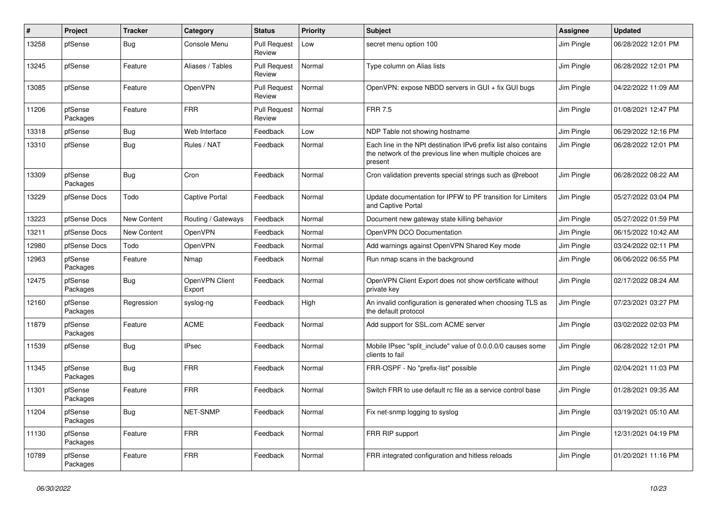| $\vert$ # | Project             | <b>Tracker</b> | Category                 | <b>Status</b>                 | <b>Priority</b> | <b>Subject</b>                                                                                                                           | <b>Assignee</b> | Updated             |
|-----------|---------------------|----------------|--------------------------|-------------------------------|-----------------|------------------------------------------------------------------------------------------------------------------------------------------|-----------------|---------------------|
| 13258     | pfSense             | Bug            | Console Menu             | <b>Pull Request</b><br>Review | Low             | secret menu option 100                                                                                                                   | Jim Pingle      | 06/28/2022 12:01 PM |
| 13245     | pfSense             | Feature        | Aliases / Tables         | <b>Pull Request</b><br>Review | Normal          | Type column on Alias lists                                                                                                               | Jim Pingle      | 06/28/2022 12:01 PM |
| 13085     | pfSense             | Feature        | OpenVPN                  | <b>Pull Request</b><br>Review | Normal          | OpenVPN: expose NBDD servers in GUI + fix GUI bugs                                                                                       | Jim Pingle      | 04/22/2022 11:09 AM |
| 11206     | pfSense<br>Packages | Feature        | <b>FRR</b>               | <b>Pull Request</b><br>Review | Normal          | <b>FRR 7.5</b>                                                                                                                           | Jim Pingle      | 01/08/2021 12:47 PM |
| 13318     | pfSense             | <b>Bug</b>     | Web Interface            | Feedback                      | Low             | NDP Table not showing hostname                                                                                                           | Jim Pingle      | 06/29/2022 12:16 PM |
| 13310     | pfSense             | <b>Bug</b>     | Rules / NAT              | Feedback                      | Normal          | Each line in the NPt destination IPv6 prefix list also contains<br>the network of the previous line when multiple choices are<br>present | Jim Pingle      | 06/28/2022 12:01 PM |
| 13309     | pfSense<br>Packages | Bug            | Cron                     | Feedback                      | Normal          | Cron validation prevents special strings such as @reboot                                                                                 | Jim Pingle      | 06/28/2022 08:22 AM |
| 13229     | pfSense Docs        | Todo           | <b>Captive Portal</b>    | Feedback                      | Normal          | Update documentation for IPFW to PF transition for Limiters<br>and Captive Portal                                                        | Jim Pingle      | 05/27/2022 03:04 PM |
| 13223     | pfSense Docs        | New Content    | Routing / Gateways       | Feedback                      | Normal          | Document new gateway state killing behavior                                                                                              | Jim Pingle      | 05/27/2022 01:59 PM |
| 13211     | pfSense Docs        | New Content    | OpenVPN                  | Feedback                      | Normal          | OpenVPN DCO Documentation                                                                                                                | Jim Pingle      | 06/15/2022 10:42 AM |
| 12980     | pfSense Docs        | Todo           | OpenVPN                  | Feedback                      | Normal          | Add warnings against OpenVPN Shared Key mode                                                                                             | Jim Pingle      | 03/24/2022 02:11 PM |
| 12963     | pfSense<br>Packages | Feature        | Nmap                     | Feedback                      | Normal          | Run nmap scans in the background                                                                                                         | Jim Pingle      | 06/06/2022 06:55 PM |
| 12475     | pfSense<br>Packages | <b>Bug</b>     | OpenVPN Client<br>Export | Feedback                      | Normal          | OpenVPN Client Export does not show certificate without<br>private key                                                                   | Jim Pingle      | 02/17/2022 08:24 AM |
| 12160     | pfSense<br>Packages | Regression     | syslog-ng                | Feedback                      | High            | An invalid configuration is generated when choosing TLS as<br>the default protocol                                                       | Jim Pingle      | 07/23/2021 03:27 PM |
| 11879     | pfSense<br>Packages | Feature        | <b>ACME</b>              | Feedback                      | Normal          | Add support for SSL.com ACME server                                                                                                      | Jim Pingle      | 03/02/2022 02:03 PM |
| 11539     | pfSense             | <b>Bug</b>     | <b>IPsec</b>             | Feedback                      | Normal          | Mobile IPsec "split include" value of 0.0.0.0/0 causes some<br>clients to fail                                                           | Jim Pingle      | 06/28/2022 12:01 PM |
| 11345     | pfSense<br>Packages | <b>Bug</b>     | <b>FRR</b>               | Feedback                      | Normal          | FRR-OSPF - No "prefix-list" possible                                                                                                     | Jim Pingle      | 02/04/2021 11:03 PM |
| 11301     | pfSense<br>Packages | Feature        | <b>FRR</b>               | Feedback                      | Normal          | Switch FRR to use default rc file as a service control base                                                                              | Jim Pingle      | 01/28/2021 09:35 AM |
| 11204     | pfSense<br>Packages | <b>Bug</b>     | NET-SNMP                 | Feedback                      | Normal          | Fix net-snmp logging to syslog                                                                                                           | Jim Pingle      | 03/19/2021 05:10 AM |
| 11130     | pfSense<br>Packages | Feature        | <b>FRR</b>               | Feedback                      | Normal          | FRR RIP support                                                                                                                          | Jim Pingle      | 12/31/2021 04:19 PM |
| 10789     | pfSense<br>Packages | Feature        | <b>FRR</b>               | Feedback                      | Normal          | FRR integrated configuration and hitless reloads                                                                                         | Jim Pingle      | 01/20/2021 11:16 PM |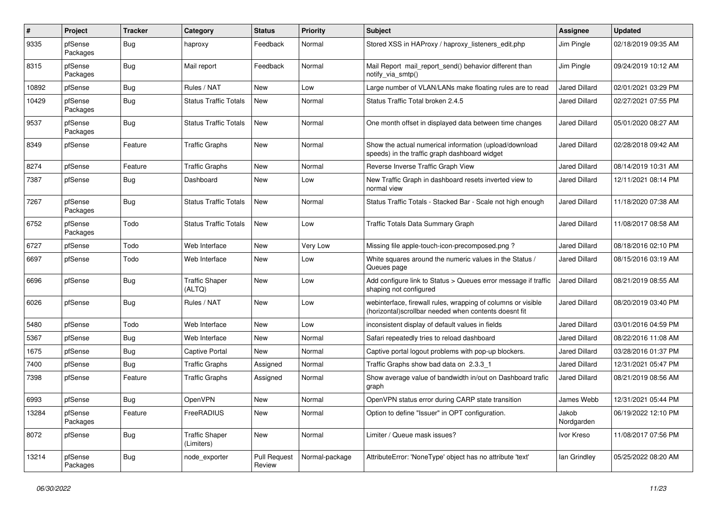| $\#$  | Project             | <b>Tracker</b> | Category                            | <b>Status</b>                 | <b>Priority</b> | <b>Subject</b>                                                                                                         | Assignee             | <b>Updated</b>      |
|-------|---------------------|----------------|-------------------------------------|-------------------------------|-----------------|------------------------------------------------------------------------------------------------------------------------|----------------------|---------------------|
| 9335  | pfSense<br>Packages | <b>Bug</b>     | haproxy                             | Feedback                      | Normal          | Stored XSS in HAProxy / haproxy listeners edit.php                                                                     | Jim Pingle           | 02/18/2019 09:35 AM |
| 8315  | pfSense<br>Packages | Bug            | Mail report                         | Feedback                      | Normal          | Mail Report mail report send() behavior different than<br>notify_via_smtp()                                            | Jim Pingle           | 09/24/2019 10:12 AM |
| 10892 | pfSense             | Bug            | Rules / NAT                         | <b>New</b>                    | Low             | Large number of VLAN/LANs make floating rules are to read                                                              | <b>Jared Dillard</b> | 02/01/2021 03:29 PM |
| 10429 | pfSense<br>Packages | Bug            | <b>Status Traffic Totals</b>        | New                           | Normal          | Status Traffic Total broken 2.4.5                                                                                      | Jared Dillard        | 02/27/2021 07:55 PM |
| 9537  | pfSense<br>Packages | Bug            | <b>Status Traffic Totals</b>        | New                           | Normal          | One month offset in displayed data between time changes                                                                | <b>Jared Dillard</b> | 05/01/2020 08:27 AM |
| 8349  | pfSense             | Feature        | <b>Traffic Graphs</b>               | <b>New</b>                    | Normal          | Show the actual numerical information (upload/download<br>speeds) in the traffic graph dashboard widget                | <b>Jared Dillard</b> | 02/28/2018 09:42 AM |
| 8274  | pfSense             | Feature        | <b>Traffic Graphs</b>               | New                           | Normal          | Reverse Inverse Traffic Graph View                                                                                     | <b>Jared Dillard</b> | 08/14/2019 10:31 AM |
| 7387  | pfSense             | <b>Bug</b>     | Dashboard                           | New                           | Low             | New Traffic Graph in dashboard resets inverted view to<br>normal view                                                  | <b>Jared Dillard</b> | 12/11/2021 08:14 PM |
| 7267  | pfSense<br>Packages | <b>Bug</b>     | <b>Status Traffic Totals</b>        | <b>New</b>                    | Normal          | Status Traffic Totals - Stacked Bar - Scale not high enough                                                            | <b>Jared Dillard</b> | 11/18/2020 07:38 AM |
| 6752  | pfSense<br>Packages | Todo           | <b>Status Traffic Totals</b>        | New                           | Low             | <b>Traffic Totals Data Summary Graph</b>                                                                               | <b>Jared Dillard</b> | 11/08/2017 08:58 AM |
| 6727  | pfSense             | Todo           | Web Interface                       | New                           | Very Low        | Missing file apple-touch-icon-precomposed.png?                                                                         | <b>Jared Dillard</b> | 08/18/2016 02:10 PM |
| 6697  | pfSense             | Todo           | Web Interface                       | New                           | Low             | White squares around the numeric values in the Status /<br>Queues page                                                 | <b>Jared Dillard</b> | 08/15/2016 03:19 AM |
| 6696  | pfSense             | <b>Bug</b>     | <b>Traffic Shaper</b><br>(ALTQ)     | New                           | Low             | Add configure link to Status > Queues error message if traffic<br>shaping not configured                               | <b>Jared Dillard</b> | 08/21/2019 08:55 AM |
| 6026  | pfSense             | <b>Bug</b>     | Rules / NAT                         | <b>New</b>                    | Low             | webinterface, firewall rules, wrapping of columns or visible<br>(horizontal) scrollbar needed when contents doesnt fit | <b>Jared Dillard</b> | 08/20/2019 03:40 PM |
| 5480  | pfSense             | Todo           | Web Interface                       | New                           | Low             | inconsistent display of default values in fields                                                                       | <b>Jared Dillard</b> | 03/01/2016 04:59 PM |
| 5367  | pfSense             | Bug            | Web Interface                       | New                           | Normal          | Safari repeatedly tries to reload dashboard                                                                            | <b>Jared Dillard</b> | 08/22/2016 11:08 AM |
| 1675  | pfSense             | Bug            | <b>Captive Portal</b>               | New                           | Normal          | Captive portal logout problems with pop-up blockers.                                                                   | Jared Dillard        | 03/28/2016 01:37 PM |
| 7400  | pfSense             | <b>Bug</b>     | <b>Traffic Graphs</b>               | Assigned                      | Normal          | Traffic Graphs show bad data on 2.3.3 1                                                                                | <b>Jared Dillard</b> | 12/31/2021 05:47 PM |
| 7398  | pfSense             | Feature        | <b>Traffic Graphs</b>               | Assigned                      | Normal          | Show average value of bandwidth in/out on Dashboard trafic<br>graph                                                    | <b>Jared Dillard</b> | 08/21/2019 08:56 AM |
| 6993  | pfSense             | <b>Bug</b>     | OpenVPN                             | New                           | Normal          | OpenVPN status error during CARP state transition                                                                      | James Webb           | 12/31/2021 05:44 PM |
| 13284 | pfSense<br>Packages | Feature        | FreeRADIUS                          | New                           | Normal          | Option to define "Issuer" in OPT configuration.                                                                        | Jakob<br>Nordgarden  | 06/19/2022 12:10 PM |
| 8072  | pfSense             | <b>Bug</b>     | <b>Traffic Shaper</b><br>(Limiters) | New                           | Normal          | Limiter / Queue mask issues?                                                                                           | Ivor Kreso           | 11/08/2017 07:56 PM |
| 13214 | pfSense<br>Packages | <b>Bug</b>     | node_exporter                       | <b>Pull Request</b><br>Review | Normal-package  | AttributeError: 'NoneType' object has no attribute 'text'                                                              | lan Grindley         | 05/25/2022 08:20 AM |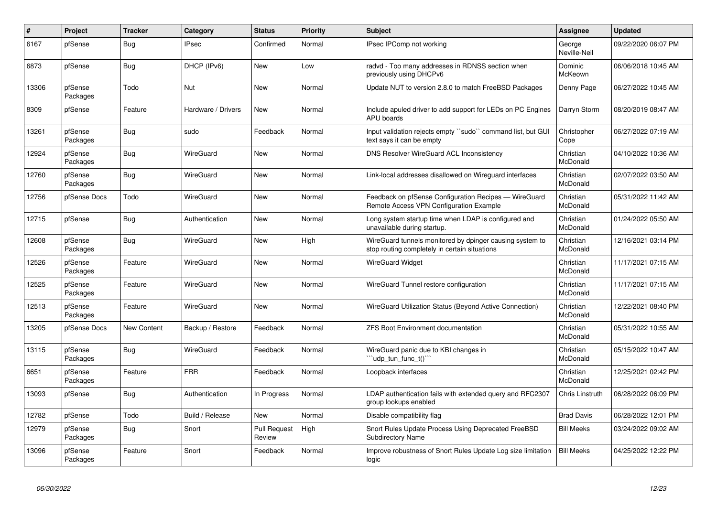| $\#$  | Project             | <b>Tracker</b> | Category           | <b>Status</b>                 | <b>Priority</b> | <b>Subject</b>                                                                                            | <b>Assignee</b>        | <b>Updated</b>      |
|-------|---------------------|----------------|--------------------|-------------------------------|-----------------|-----------------------------------------------------------------------------------------------------------|------------------------|---------------------|
| 6167  | pfSense             | Bug            | <b>IPsec</b>       | Confirmed                     | Normal          | IPsec IPComp not working                                                                                  | George<br>Neville-Neil | 09/22/2020 06:07 PM |
| 6873  | pfSense             | <b>Bug</b>     | DHCP (IPv6)        | <b>New</b>                    | Low             | radvd - Too many addresses in RDNSS section when<br>previously using DHCPv6                               | Dominic<br>McKeown     | 06/06/2018 10:45 AM |
| 13306 | pfSense<br>Packages | Todo           | <b>Nut</b>         | <b>New</b>                    | Normal          | Update NUT to version 2.8.0 to match FreeBSD Packages                                                     | Denny Page             | 06/27/2022 10:45 AM |
| 8309  | pfSense             | Feature        | Hardware / Drivers | New                           | Normal          | Include apuled driver to add support for LEDs on PC Engines<br>APU boards                                 | Darryn Storm           | 08/20/2019 08:47 AM |
| 13261 | pfSense<br>Packages | Bug            | sudo               | Feedback                      | Normal          | Input validation rejects empty "sudo" command list, but GUI<br>text says it can be empty                  | Christopher<br>Cope    | 06/27/2022 07:19 AM |
| 12924 | pfSense<br>Packages | <b>Bug</b>     | WireGuard          | <b>New</b>                    | Normal          | <b>DNS Resolver WireGuard ACL Inconsistency</b>                                                           | Christian<br>McDonald  | 04/10/2022 10:36 AM |
| 12760 | pfSense<br>Packages | Bug            | WireGuard          | <b>New</b>                    | Normal          | Link-local addresses disallowed on Wireguard interfaces                                                   | Christian<br>McDonald  | 02/07/2022 03:50 AM |
| 12756 | pfSense Docs        | Todo           | WireGuard          | New                           | Normal          | Feedback on pfSense Configuration Recipes - WireGuard<br>Remote Access VPN Configuration Example          | Christian<br>McDonald  | 05/31/2022 11:42 AM |
| 12715 | pfSense             | Bug            | Authentication     | <b>New</b>                    | Normal          | Long system startup time when LDAP is configured and<br>unavailable during startup.                       | Christian<br>McDonald  | 01/24/2022 05:50 AM |
| 12608 | pfSense<br>Packages | <b>Bug</b>     | WireGuard          | New                           | High            | WireGuard tunnels monitored by dpinger causing system to<br>stop routing completely in certain situations | Christian<br>McDonald  | 12/16/2021 03:14 PM |
| 12526 | pfSense<br>Packages | Feature        | WireGuard          | New                           | Normal          | <b>WireGuard Widget</b>                                                                                   | Christian<br>McDonald  | 11/17/2021 07:15 AM |
| 12525 | pfSense<br>Packages | Feature        | WireGuard          | <b>New</b>                    | Normal          | WireGuard Tunnel restore configuration                                                                    | Christian<br>McDonald  | 11/17/2021 07:15 AM |
| 12513 | pfSense<br>Packages | Feature        | WireGuard          | New                           | Normal          | WireGuard Utilization Status (Beyond Active Connection)                                                   | Christian<br>McDonald  | 12/22/2021 08:40 PM |
| 13205 | pfSense Docs        | New Content    | Backup / Restore   | Feedback                      | Normal          | <b>ZFS Boot Environment documentation</b>                                                                 | Christian<br>McDonald  | 05/31/2022 10:55 AM |
| 13115 | pfSense<br>Packages | Bug            | WireGuard          | Feedback                      | Normal          | WireGuard panic due to KBI changes in<br>'udp tun func t()"                                               | Christian<br>McDonald  | 05/15/2022 10:47 AM |
| 6651  | pfSense<br>Packages | Feature        | <b>FRR</b>         | Feedback                      | Normal          | Loopback interfaces                                                                                       | Christian<br>McDonald  | 12/25/2021 02:42 PM |
| 13093 | pfSense             | <b>Bug</b>     | Authentication     | In Progress                   | Normal          | LDAP authentication fails with extended query and RFC2307<br>group lookups enabled                        | Chris Linstruth        | 06/28/2022 06:09 PM |
| 12782 | pfSense             | Todo           | Build / Release    | New                           | Normal          | Disable compatibility flag                                                                                | <b>Brad Davis</b>      | 06/28/2022 12:01 PM |
| 12979 | pfSense<br>Packages | <b>Bug</b>     | Snort              | <b>Pull Request</b><br>Review | High            | Snort Rules Update Process Using Deprecated FreeBSD<br><b>Subdirectory Name</b>                           | <b>Bill Meeks</b>      | 03/24/2022 09:02 AM |
| 13096 | pfSense<br>Packages | Feature        | Snort              | Feedback                      | Normal          | Improve robustness of Snort Rules Update Log size limitation<br>logic                                     | <b>Bill Meeks</b>      | 04/25/2022 12:22 PM |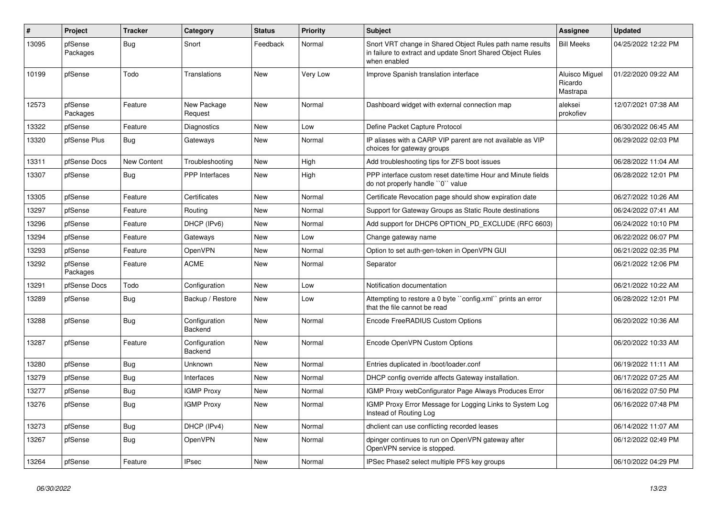| $\vert$ # | Project             | <b>Tracker</b> | Category                 | <b>Status</b> | <b>Priority</b> | <b>Subject</b>                                                                                                                          | <b>Assignee</b>                       | Updated             |
|-----------|---------------------|----------------|--------------------------|---------------|-----------------|-----------------------------------------------------------------------------------------------------------------------------------------|---------------------------------------|---------------------|
| 13095     | pfSense<br>Packages | Bug            | Snort                    | Feedback      | Normal          | Snort VRT change in Shared Object Rules path name results<br>in failure to extract and update Snort Shared Object Rules<br>when enabled | <b>Bill Meeks</b>                     | 04/25/2022 12:22 PM |
| 10199     | pfSense             | Todo           | <b>Translations</b>      | <b>New</b>    | <b>Very Low</b> | Improve Spanish translation interface                                                                                                   | Aluisco Miguel<br>Ricardo<br>Mastrapa | 01/22/2020 09:22 AM |
| 12573     | pfSense<br>Packages | Feature        | New Package<br>Request   | <b>New</b>    | Normal          | Dashboard widget with external connection map                                                                                           | aleksei<br>prokofiev                  | 12/07/2021 07:38 AM |
| 13322     | pfSense             | Feature        | Diagnostics              | New           | Low             | Define Packet Capture Protocol                                                                                                          |                                       | 06/30/2022 06:45 AM |
| 13320     | pfSense Plus        | <b>Bug</b>     | Gateways                 | New           | Normal          | IP aliases with a CARP VIP parent are not available as VIP<br>choices for gateway groups                                                |                                       | 06/29/2022 02:03 PM |
| 13311     | pfSense Docs        | New Content    | Troubleshooting          | New           | High            | Add troubleshooting tips for ZFS boot issues                                                                                            |                                       | 06/28/2022 11:04 AM |
| 13307     | pfSense             | Bug            | <b>PPP</b> Interfaces    | <b>New</b>    | High            | PPP interface custom reset date/time Hour and Minute fields<br>do not properly handle "0" value                                         |                                       | 06/28/2022 12:01 PM |
| 13305     | pfSense             | Feature        | Certificates             | New           | Normal          | Certificate Revocation page should show expiration date                                                                                 |                                       | 06/27/2022 10:26 AM |
| 13297     | pfSense             | Feature        | Routing                  | New           | Normal          | Support for Gateway Groups as Static Route destinations                                                                                 |                                       | 06/24/2022 07:41 AM |
| 13296     | pfSense             | Feature        | DHCP (IPv6)              | New           | Normal          | Add support for DHCP6 OPTION_PD_EXCLUDE (RFC 6603)                                                                                      |                                       | 06/24/2022 10:10 PM |
| 13294     | pfSense             | Feature        | Gateways                 | New           | Low             | Change gateway name                                                                                                                     |                                       | 06/22/2022 06:07 PM |
| 13293     | pfSense             | Feature        | OpenVPN                  | New           | Normal          | Option to set auth-gen-token in OpenVPN GUI                                                                                             |                                       | 06/21/2022 02:35 PM |
| 13292     | pfSense<br>Packages | Feature        | <b>ACME</b>              | New           | Normal          | Separator                                                                                                                               |                                       | 06/21/2022 12:06 PM |
| 13291     | pfSense Docs        | Todo           | Configuration            | New           | Low             | Notification documentation                                                                                                              |                                       | 06/21/2022 10:22 AM |
| 13289     | pfSense             | <b>Bug</b>     | Backup / Restore         | New           | Low             | Attempting to restore a 0 byte "config.xml" prints an error<br>that the file cannot be read                                             |                                       | 06/28/2022 12:01 PM |
| 13288     | pfSense             | Bug            | Configuration<br>Backend | New           | Normal          | Encode FreeRADIUS Custom Options                                                                                                        |                                       | 06/20/2022 10:36 AM |
| 13287     | pfSense             | Feature        | Configuration<br>Backend | New           | Normal          | Encode OpenVPN Custom Options                                                                                                           |                                       | 06/20/2022 10:33 AM |
| 13280     | pfSense             | Bug            | Unknown                  | New           | Normal          | Entries duplicated in /boot/loader.conf                                                                                                 |                                       | 06/19/2022 11:11 AM |
| 13279     | pfSense             | <b>Bug</b>     | Interfaces               | New           | Normal          | DHCP config override affects Gateway installation.                                                                                      |                                       | 06/17/2022 07:25 AM |
| 13277     | pfSense             | Bug            | <b>IGMP Proxy</b>        | New           | Normal          | IGMP Proxy webConfigurator Page Always Produces Error                                                                                   |                                       | 06/16/2022 07:50 PM |
| 13276     | pfSense             | <b>Bug</b>     | IGMP Proxy               | New           | Normal          | IGMP Proxy Error Message for Logging Links to System Log<br>Instead of Routing Log                                                      |                                       | 06/16/2022 07:48 PM |
| 13273     | pfSense             | <b>Bug</b>     | DHCP (IPv4)              | New           | Normal          | dholient can use conflicting recorded leases                                                                                            |                                       | 06/14/2022 11:07 AM |
| 13267     | pfSense             | <b>Bug</b>     | OpenVPN                  | New           | Normal          | dpinger continues to run on OpenVPN gateway after<br>OpenVPN service is stopped.                                                        |                                       | 06/12/2022 02:49 PM |
| 13264     | pfSense             | Feature        | <b>IPsec</b>             | <b>New</b>    | Normal          | IPSec Phase2 select multiple PFS key groups                                                                                             |                                       | 06/10/2022 04:29 PM |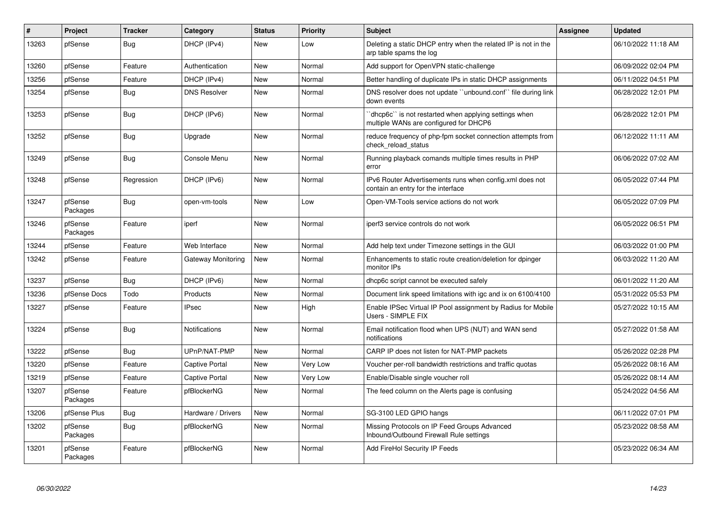| $\#$  | Project             | <b>Tracker</b> | Category              | <b>Status</b> | <b>Priority</b> | <b>Subject</b>                                                                                   | <b>Assignee</b> | <b>Updated</b>      |
|-------|---------------------|----------------|-----------------------|---------------|-----------------|--------------------------------------------------------------------------------------------------|-----------------|---------------------|
| 13263 | pfSense             | <b>Bug</b>     | DHCP (IPv4)           | <b>New</b>    | Low             | Deleting a static DHCP entry when the related IP is not in the<br>arp table spams the log        |                 | 06/10/2022 11:18 AM |
| 13260 | pfSense             | Feature        | Authentication        | New           | Normal          | Add support for OpenVPN static-challenge                                                         |                 | 06/09/2022 02:04 PM |
| 13256 | pfSense             | Feature        | DHCP (IPv4)           | New           | Normal          | Better handling of duplicate IPs in static DHCP assignments                                      |                 | 06/11/2022 04:51 PM |
| 13254 | pfSense             | <b>Bug</b>     | <b>DNS Resolver</b>   | New           | Normal          | DNS resolver does not update "unbound.conf" file during link<br>down events                      |                 | 06/28/2022 12:01 PM |
| 13253 | pfSense             | <b>Bug</b>     | DHCP (IPv6)           | New           | Normal          | 'dhcp6c'' is not restarted when applying settings when<br>multiple WANs are configured for DHCP6 |                 | 06/28/2022 12:01 PM |
| 13252 | pfSense             | <b>Bug</b>     | Upgrade               | New           | Normal          | reduce frequency of php-fpm socket connection attempts from<br>check reload status               |                 | 06/12/2022 11:11 AM |
| 13249 | pfSense             | <b>Bug</b>     | Console Menu          | New           | Normal          | Running playback comands multiple times results in PHP<br>error                                  |                 | 06/06/2022 07:02 AM |
| 13248 | pfSense             | Regression     | DHCP (IPv6)           | New           | Normal          | IPv6 Router Advertisements runs when config.xml does not<br>contain an entry for the interface   |                 | 06/05/2022 07:44 PM |
| 13247 | pfSense<br>Packages | <b>Bug</b>     | open-vm-tools         | New           | Low             | Open-VM-Tools service actions do not work                                                        |                 | 06/05/2022 07:09 PM |
| 13246 | pfSense<br>Packages | Feature        | iperf                 | <b>New</b>    | Normal          | iperf3 service controls do not work                                                              |                 | 06/05/2022 06:51 PM |
| 13244 | pfSense             | Feature        | Web Interface         | New           | Normal          | Add help text under Timezone settings in the GUI                                                 |                 | 06/03/2022 01:00 PM |
| 13242 | pfSense             | Feature        | Gateway Monitoring    | New           | Normal          | Enhancements to static route creation/deletion for dpinger<br>monitor IPs                        |                 | 06/03/2022 11:20 AM |
| 13237 | pfSense             | Bug            | DHCP (IPv6)           | New           | Normal          | dhcp6c script cannot be executed safely                                                          |                 | 06/01/2022 11:20 AM |
| 13236 | pfSense Docs        | Todo           | Products              | New           | Normal          | Document link speed limitations with igc and ix on 6100/4100                                     |                 | 05/31/2022 05:53 PM |
| 13227 | pfSense             | Feature        | <b>IPsec</b>          | New           | High            | Enable IPSec Virtual IP Pool assignment by Radius for Mobile<br>Users - SIMPLE FIX               |                 | 05/27/2022 10:15 AM |
| 13224 | pfSense             | <b>Bug</b>     | Notifications         | New           | Normal          | Email notification flood when UPS (NUT) and WAN send<br>notifications                            |                 | 05/27/2022 01:58 AM |
| 13222 | pfSense             | <b>Bug</b>     | UPnP/NAT-PMP          | New           | Normal          | CARP IP does not listen for NAT-PMP packets                                                      |                 | 05/26/2022 02:28 PM |
| 13220 | pfSense             | Feature        | Captive Portal        | New           | Very Low        | Voucher per-roll bandwidth restrictions and traffic quotas                                       |                 | 05/26/2022 08:16 AM |
| 13219 | pfSense             | Feature        | <b>Captive Portal</b> | New           | Very Low        | Enable/Disable single voucher roll                                                               |                 | 05/26/2022 08:14 AM |
| 13207 | pfSense<br>Packages | Feature        | pfBlockerNG           | <b>New</b>    | Normal          | The feed column on the Alerts page is confusing                                                  |                 | 05/24/2022 04:56 AM |
| 13206 | pfSense Plus        | <b>Bug</b>     | Hardware / Drivers    | New           | Normal          | SG-3100 LED GPIO hangs                                                                           |                 | 06/11/2022 07:01 PM |
| 13202 | pfSense<br>Packages | Bug            | pfBlockerNG           | <b>New</b>    | Normal          | Missing Protocols on IP Feed Groups Advanced<br>Inbound/Outbound Firewall Rule settings          |                 | 05/23/2022 08:58 AM |
| 13201 | pfSense<br>Packages | Feature        | pfBlockerNG           | <b>New</b>    | Normal          | Add FireHol Security IP Feeds                                                                    |                 | 05/23/2022 06:34 AM |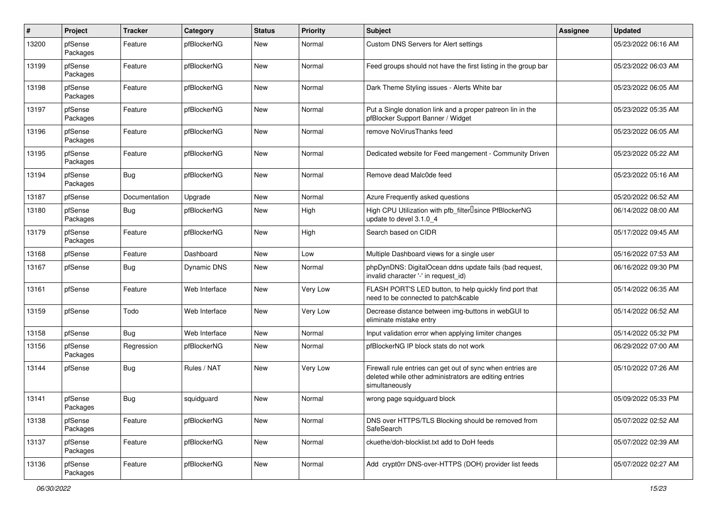| $\pmb{\#}$ | Project             | <b>Tracker</b> | Category      | <b>Status</b> | <b>Priority</b> | <b>Subject</b>                                                                                                                         | Assignee | <b>Updated</b>      |
|------------|---------------------|----------------|---------------|---------------|-----------------|----------------------------------------------------------------------------------------------------------------------------------------|----------|---------------------|
| 13200      | pfSense<br>Packages | Feature        | pfBlockerNG   | <b>New</b>    | Normal          | Custom DNS Servers for Alert settings                                                                                                  |          | 05/23/2022 06:16 AM |
| 13199      | pfSense<br>Packages | Feature        | pfBlockerNG   | <b>New</b>    | Normal          | Feed groups should not have the first listing in the group bar                                                                         |          | 05/23/2022 06:03 AM |
| 13198      | pfSense<br>Packages | Feature        | pfBlockerNG   | <b>New</b>    | Normal          | Dark Theme Styling issues - Alerts White bar                                                                                           |          | 05/23/2022 06:05 AM |
| 13197      | pfSense<br>Packages | Feature        | pfBlockerNG   | New           | Normal          | Put a Single donation link and a proper patreon lin in the<br>pfBlocker Support Banner / Widget                                        |          | 05/23/2022 05:35 AM |
| 13196      | pfSense<br>Packages | Feature        | pfBlockerNG   | New           | Normal          | remove NoVirusThanks feed                                                                                                              |          | 05/23/2022 06:05 AM |
| 13195      | pfSense<br>Packages | Feature        | pfBlockerNG   | New           | Normal          | Dedicated website for Feed mangement - Community Driven                                                                                |          | 05/23/2022 05:22 AM |
| 13194      | pfSense<br>Packages | <b>Bug</b>     | pfBlockerNG   | New           | Normal          | Remove dead Malc0de feed                                                                                                               |          | 05/23/2022 05:16 AM |
| 13187      | pfSense             | Documentation  | Upgrade       | New           | Normal          | Azure Frequently asked questions                                                                                                       |          | 05/20/2022 06:52 AM |
| 13180      | pfSense<br>Packages | <b>Bug</b>     | pfBlockerNG   | New           | High            | High CPU Utilization with pfb_filter <sup>[]</sup> since PfBlockerNG<br>update to devel 3.1.0 4                                        |          | 06/14/2022 08:00 AM |
| 13179      | pfSense<br>Packages | Feature        | pfBlockerNG   | New           | High            | Search based on CIDR                                                                                                                   |          | 05/17/2022 09:45 AM |
| 13168      | pfSense             | Feature        | Dashboard     | New           | Low             | Multiple Dashboard views for a single user                                                                                             |          | 05/16/2022 07:53 AM |
| 13167      | pfSense             | <b>Bug</b>     | Dynamic DNS   | <b>New</b>    | Normal          | phpDynDNS: DigitalOcean ddns update fails (bad request,<br>invalid character '-' in request_id)                                        |          | 06/16/2022 09:30 PM |
| 13161      | pfSense             | Feature        | Web Interface | New           | Very Low        | FLASH PORT'S LED button, to help quickly find port that<br>need to be connected to patch&cable                                         |          | 05/14/2022 06:35 AM |
| 13159      | pfSense             | Todo           | Web Interface | New           | Very Low        | Decrease distance between img-buttons in webGUI to<br>eliminate mistake entry                                                          |          | 05/14/2022 06:52 AM |
| 13158      | pfSense             | <b>Bug</b>     | Web Interface | New           | Normal          | Input validation error when applying limiter changes                                                                                   |          | 05/14/2022 05:32 PM |
| 13156      | pfSense<br>Packages | Regression     | pfBlockerNG   | New           | Normal          | pfBlockerNG IP block stats do not work                                                                                                 |          | 06/29/2022 07:00 AM |
| 13144      | pfSense             | Bug            | Rules / NAT   | New           | Very Low        | Firewall rule entries can get out of sync when entries are<br>deleted while other administrators are editing entries<br>simultaneously |          | 05/10/2022 07:26 AM |
| 13141      | pfSense<br>Packages | <b>Bug</b>     | squidguard    | New           | Normal          | wrong page squidguard block                                                                                                            |          | 05/09/2022 05:33 PM |
| 13138      | pfSense<br>Packages | Feature        | pfBlockerNG   | New           | Normal          | DNS over HTTPS/TLS Blocking should be removed from<br>SafeSearch                                                                       |          | 05/07/2022 02:52 AM |
| 13137      | pfSense<br>Packages | Feature        | pfBlockerNG   | New           | Normal          | ckuethe/doh-blocklist.txt add to DoH feeds                                                                                             |          | 05/07/2022 02:39 AM |
| 13136      | pfSense<br>Packages | Feature        | pfBlockerNG   | New           | Normal          | Add crypt0rr DNS-over-HTTPS (DOH) provider list feeds                                                                                  |          | 05/07/2022 02:27 AM |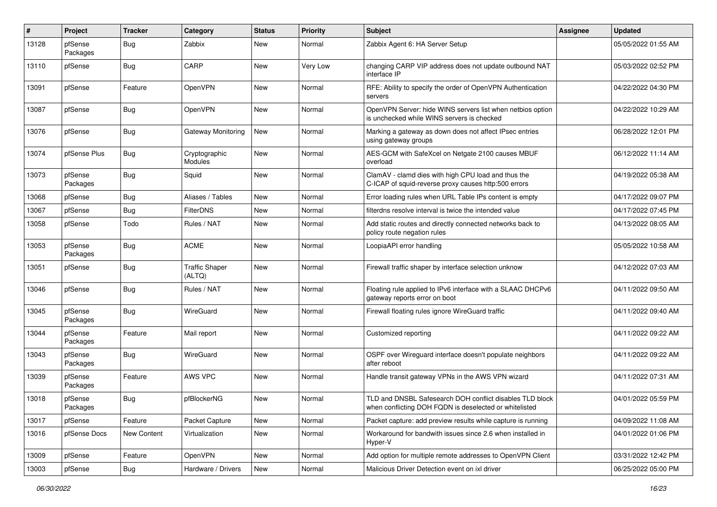| #     | Project             | <b>Tracker</b> | Category                        | <b>Status</b> | <b>Priority</b> | <b>Subject</b>                                                                                                     | Assignee | <b>Updated</b>      |
|-------|---------------------|----------------|---------------------------------|---------------|-----------------|--------------------------------------------------------------------------------------------------------------------|----------|---------------------|
| 13128 | pfSense<br>Packages | <b>Bug</b>     | Zabbix                          | New           | Normal          | Zabbix Agent 6: HA Server Setup                                                                                    |          | 05/05/2022 01:55 AM |
| 13110 | pfSense             | Bug            | CARP                            | New           | Very Low        | changing CARP VIP address does not update outbound NAT<br>interface IP                                             |          | 05/03/2022 02:52 PM |
| 13091 | pfSense             | Feature        | OpenVPN                         | New           | Normal          | RFE: Ability to specify the order of OpenVPN Authentication<br>servers                                             |          | 04/22/2022 04:30 PM |
| 13087 | pfSense             | Bug            | OpenVPN                         | New           | Normal          | OpenVPN Server: hide WINS servers list when netbios option<br>is unchecked while WINS servers is checked           |          | 04/22/2022 10:29 AM |
| 13076 | pfSense             | <b>Bug</b>     | Gateway Monitoring              | New           | Normal          | Marking a gateway as down does not affect IPsec entries<br>using gateway groups                                    |          | 06/28/2022 12:01 PM |
| 13074 | pfSense Plus        | <b>Bug</b>     | Cryptographic<br>Modules        | New           | Normal          | AES-GCM with SafeXcel on Netgate 2100 causes MBUF<br>overload                                                      |          | 06/12/2022 11:14 AM |
| 13073 | pfSense<br>Packages | <b>Bug</b>     | Squid                           | New           | Normal          | ClamAV - clamd dies with high CPU load and thus the<br>C-ICAP of squid-reverse proxy causes http:500 errors        |          | 04/19/2022 05:38 AM |
| 13068 | pfSense             | <b>Bug</b>     | Aliases / Tables                | New           | Normal          | Error loading rules when URL Table IPs content is empty                                                            |          | 04/17/2022 09:07 PM |
| 13067 | pfSense             | <b>Bug</b>     | <b>FilterDNS</b>                | New           | Normal          | filterdns resolve interval is twice the intended value                                                             |          | 04/17/2022 07:45 PM |
| 13058 | pfSense             | Todo           | Rules / NAT                     | New           | Normal          | Add static routes and directly connected networks back to<br>policy route negation rules                           |          | 04/13/2022 08:05 AM |
| 13053 | pfSense<br>Packages | <b>Bug</b>     | <b>ACME</b>                     | <b>New</b>    | Normal          | LoopiaAPI error handling                                                                                           |          | 05/05/2022 10:58 AM |
| 13051 | pfSense             | Bug            | <b>Traffic Shaper</b><br>(ALTQ) | New           | Normal          | Firewall traffic shaper by interface selection unknow                                                              |          | 04/12/2022 07:03 AM |
| 13046 | pfSense             | Bug            | Rules / NAT                     | New           | Normal          | Floating rule applied to IPv6 interface with a SLAAC DHCPv6<br>gateway reports error on boot                       |          | 04/11/2022 09:50 AM |
| 13045 | pfSense<br>Packages | <b>Bug</b>     | WireGuard                       | New           | Normal          | Firewall floating rules ignore WireGuard traffic                                                                   |          | 04/11/2022 09:40 AM |
| 13044 | pfSense<br>Packages | Feature        | Mail report                     | New           | Normal          | Customized reporting                                                                                               |          | 04/11/2022 09:22 AM |
| 13043 | pfSense<br>Packages | <b>Bug</b>     | WireGuard                       | New           | Normal          | OSPF over Wireguard interface doesn't populate neighbors<br>after reboot                                           |          | 04/11/2022 09:22 AM |
| 13039 | pfSense<br>Packages | Feature        | AWS VPC                         | New           | Normal          | Handle transit gateway VPNs in the AWS VPN wizard                                                                  |          | 04/11/2022 07:31 AM |
| 13018 | pfSense<br>Packages | <b>Bug</b>     | pfBlockerNG                     | New           | Normal          | TLD and DNSBL Safesearch DOH conflict disables TLD block<br>when conflicting DOH FQDN is deselected or whitelisted |          | 04/01/2022 05:59 PM |
| 13017 | pfSense             | Feature        | Packet Capture                  | New           | Normal          | Packet capture: add preview results while capture is running                                                       |          | 04/09/2022 11:08 AM |
| 13016 | pfSense Docs        | New Content    | Virtualization                  | New           | Normal          | Workaround for bandwith issues since 2.6 when installed in<br>Hyper-V                                              |          | 04/01/2022 01:06 PM |
| 13009 | pfSense             | Feature        | OpenVPN                         | New           | Normal          | Add option for multiple remote addresses to OpenVPN Client                                                         |          | 03/31/2022 12:42 PM |
| 13003 | pfSense             | <b>Bug</b>     | Hardware / Drivers              | New           | Normal          | Malicious Driver Detection event on ixl driver                                                                     |          | 06/25/2022 05:00 PM |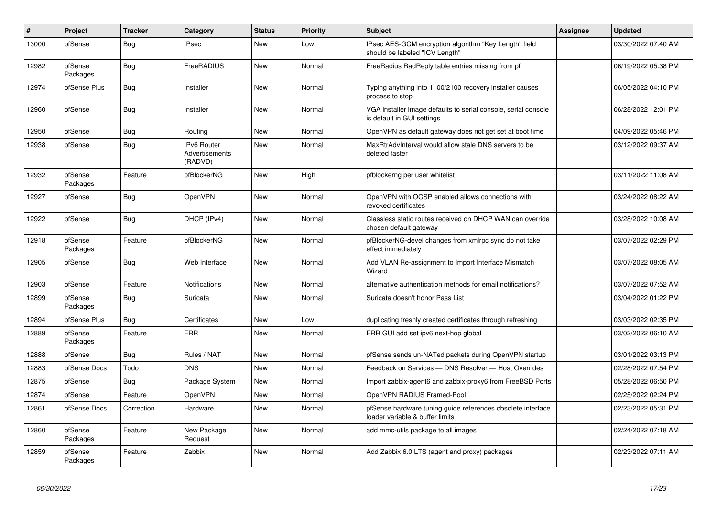| $\vert$ # | Project             | <b>Tracker</b> | Category                                        | <b>Status</b> | <b>Priority</b> | <b>Subject</b>                                                                                 | Assignee | Updated             |
|-----------|---------------------|----------------|-------------------------------------------------|---------------|-----------------|------------------------------------------------------------------------------------------------|----------|---------------------|
| 13000     | pfSense             | Bug            | IPsec                                           | New           | Low             | IPsec AES-GCM encryption algorithm "Key Length" field<br>should be labeled "ICV Length"        |          | 03/30/2022 07:40 AM |
| 12982     | pfSense<br>Packages | Bug            | FreeRADIUS                                      | New           | Normal          | FreeRadius RadReply table entries missing from pf                                              |          | 06/19/2022 05:38 PM |
| 12974     | pfSense Plus        | <b>Bug</b>     | Installer                                       | <b>New</b>    | Normal          | Typing anything into 1100/2100 recovery installer causes<br>process to stop                    |          | 06/05/2022 04:10 PM |
| 12960     | pfSense             | <b>Bug</b>     | Installer                                       | <b>New</b>    | Normal          | VGA installer image defaults to serial console, serial console<br>is default in GUI settings   |          | 06/28/2022 12:01 PM |
| 12950     | pfSense             | Bug            | Routing                                         | New           | Normal          | OpenVPN as default gateway does not get set at boot time                                       |          | 04/09/2022 05:46 PM |
| 12938     | pfSense             | <b>Bug</b>     | <b>IPv6 Router</b><br>Advertisements<br>(RADVD) | <b>New</b>    | Normal          | MaxRtrAdvInterval would allow stale DNS servers to be<br>deleted faster                        |          | 03/12/2022 09:37 AM |
| 12932     | pfSense<br>Packages | Feature        | pfBlockerNG                                     | New           | High            | pfblockerng per user whitelist                                                                 |          | 03/11/2022 11:08 AM |
| 12927     | pfSense             | Bug            | OpenVPN                                         | New           | Normal          | OpenVPN with OCSP enabled allows connections with<br>revoked certificates                      |          | 03/24/2022 08:22 AM |
| 12922     | pfSense             | <b>Bug</b>     | DHCP (IPv4)                                     | <b>New</b>    | Normal          | Classless static routes received on DHCP WAN can override<br>chosen default gateway            |          | 03/28/2022 10:08 AM |
| 12918     | pfSense<br>Packages | Feature        | pfBlockerNG                                     | New           | Normal          | pfBlockerNG-devel changes from xmlrpc sync do not take<br>effect immediately                   |          | 03/07/2022 02:29 PM |
| 12905     | pfSense             | <b>Bug</b>     | Web Interface                                   | New           | Normal          | Add VLAN Re-assignment to Import Interface Mismatch<br>Wizard                                  |          | 03/07/2022 08:05 AM |
| 12903     | pfSense             | Feature        | Notifications                                   | New           | Normal          | alternative authentication methods for email notifications?                                    |          | 03/07/2022 07:52 AM |
| 12899     | pfSense<br>Packages | Bug            | Suricata                                        | New           | Normal          | Suricata doesn't honor Pass List                                                               |          | 03/04/2022 01:22 PM |
| 12894     | pfSense Plus        | <b>Bug</b>     | Certificates                                    | <b>New</b>    | Low             | duplicating freshly created certificates through refreshing                                    |          | 03/03/2022 02:35 PM |
| 12889     | pfSense<br>Packages | Feature        | <b>FRR</b>                                      | New           | Normal          | FRR GUI add set ipv6 next-hop global                                                           |          | 03/02/2022 06:10 AM |
| 12888     | pfSense             | <b>Bug</b>     | Rules / NAT                                     | <b>New</b>    | Normal          | pfSense sends un-NATed packets during OpenVPN startup                                          |          | 03/01/2022 03:13 PM |
| 12883     | pfSense Docs        | Todo           | <b>DNS</b>                                      | New           | Normal          | Feedback on Services - DNS Resolver - Host Overrides                                           |          | 02/28/2022 07:54 PM |
| 12875     | pfSense             | Bug            | Package System                                  | New           | Normal          | Import zabbix-agent6 and zabbix-proxy6 from FreeBSD Ports                                      |          | 05/28/2022 06:50 PM |
| 12874     | pfSense             | Feature        | OpenVPN                                         | <b>New</b>    | Normal          | OpenVPN RADIUS Framed-Pool                                                                     |          | 02/25/2022 02:24 PM |
| 12861     | pfSense Docs        | Correction     | Hardware                                        | New           | Normal          | pfSense hardware tuning guide references obsolete interface<br>loader variable & buffer limits |          | 02/23/2022 05:31 PM |
| 12860     | pfSense<br>Packages | Feature        | New Package<br>Request                          | <b>New</b>    | Normal          | add mmc-utils package to all images                                                            |          | 02/24/2022 07:18 AM |
| 12859     | pfSense<br>Packages | Feature        | Zabbix                                          | New           | Normal          | Add Zabbix 6.0 LTS (agent and proxy) packages                                                  |          | 02/23/2022 07:11 AM |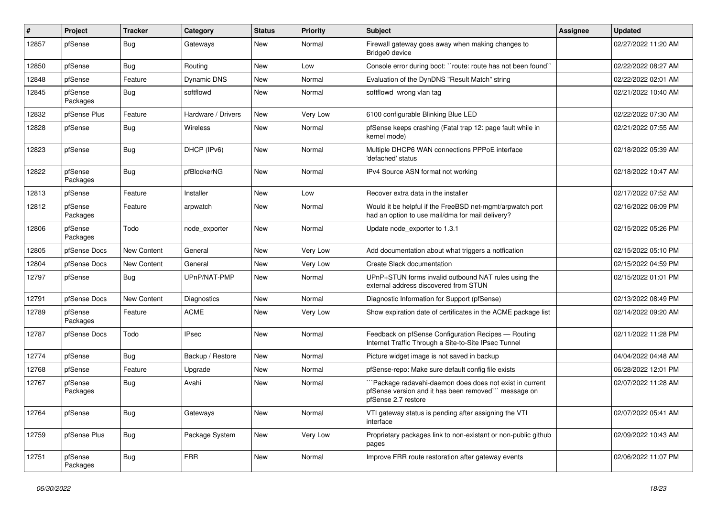| $\#$  | Project             | <b>Tracker</b> | Category           | <b>Status</b> | <b>Priority</b> | <b>Subject</b>                                                                                                                       | Assignee | <b>Updated</b>      |
|-------|---------------------|----------------|--------------------|---------------|-----------------|--------------------------------------------------------------------------------------------------------------------------------------|----------|---------------------|
| 12857 | pfSense             | <b>Bug</b>     | Gateways           | New           | Normal          | Firewall gateway goes away when making changes to<br>Bridge0 device                                                                  |          | 02/27/2022 11:20 AM |
| 12850 | pfSense             | Bug            | Routing            | New           | Low             | Console error during boot: "route: route has not been found"                                                                         |          | 02/22/2022 08:27 AM |
| 12848 | pfSense             | Feature        | Dynamic DNS        | New           | Normal          | Evaluation of the DynDNS "Result Match" string                                                                                       |          | 02/22/2022 02:01 AM |
| 12845 | pfSense<br>Packages | <b>Bug</b>     | softflowd          | New           | Normal          | softflowd wrong vlan tag                                                                                                             |          | 02/21/2022 10:40 AM |
| 12832 | pfSense Plus        | Feature        | Hardware / Drivers | New           | Very Low        | 6100 configurable Blinking Blue LED                                                                                                  |          | 02/22/2022 07:30 AM |
| 12828 | pfSense             | <b>Bug</b>     | Wireless           | New           | Normal          | pfSense keeps crashing (Fatal trap 12: page fault while in<br>kernel mode)                                                           |          | 02/21/2022 07:55 AM |
| 12823 | pfSense             | <b>Bug</b>     | DHCP (IPv6)        | New           | Normal          | Multiple DHCP6 WAN connections PPPoE interface<br>'defached' status                                                                  |          | 02/18/2022 05:39 AM |
| 12822 | pfSense<br>Packages | <b>Bug</b>     | pfBlockerNG        | New           | Normal          | IPv4 Source ASN format not working                                                                                                   |          | 02/18/2022 10:47 AM |
| 12813 | pfSense             | Feature        | Installer          | New           | Low             | Recover extra data in the installer                                                                                                  |          | 02/17/2022 07:52 AM |
| 12812 | pfSense<br>Packages | Feature        | arpwatch           | New           | Normal          | Would it be helpful if the FreeBSD net-mgmt/arpwatch port<br>had an option to use mail/dma for mail delivery?                        |          | 02/16/2022 06:09 PM |
| 12806 | pfSense<br>Packages | Todo           | node exporter      | New           | Normal          | Update node exporter to 1.3.1                                                                                                        |          | 02/15/2022 05:26 PM |
| 12805 | pfSense Docs        | New Content    | General            | New           | Very Low        | Add documentation about what triggers a notfication                                                                                  |          | 02/15/2022 05:10 PM |
| 12804 | pfSense Docs        | New Content    | General            | New           | Very Low        | Create Slack documentation                                                                                                           |          | 02/15/2022 04:59 PM |
| 12797 | pfSense             | <b>Bug</b>     | UPnP/NAT-PMP       | New           | Normal          | UPnP+STUN forms invalid outbound NAT rules using the<br>external address discovered from STUN                                        |          | 02/15/2022 01:01 PM |
| 12791 | pfSense Docs        | New Content    | <b>Diagnostics</b> | New           | Normal          | Diagnostic Information for Support (pfSense)                                                                                         |          | 02/13/2022 08:49 PM |
| 12789 | pfSense<br>Packages | Feature        | <b>ACME</b>        | New           | Very Low        | Show expiration date of certificates in the ACME package list                                                                        |          | 02/14/2022 09:20 AM |
| 12787 | pfSense Docs        | Todo           | <b>IPsec</b>       | New           | Normal          | Feedback on pfSense Configuration Recipes - Routing<br>Internet Traffic Through a Site-to-Site IPsec Tunnel                          |          | 02/11/2022 11:28 PM |
| 12774 | pfSense             | Bug            | Backup / Restore   | New           | Normal          | Picture widget image is not saved in backup                                                                                          |          | 04/04/2022 04:48 AM |
| 12768 | pfSense             | Feature        | Upgrade            | New           | Normal          | pfSense-repo: Make sure default config file exists                                                                                   |          | 06/28/2022 12:01 PM |
| 12767 | pfSense<br>Packages | <b>Bug</b>     | Avahi              | New           | Normal          | Package radavahi-daemon does does not exist in current<br>pfSense version and it has been removed" message on<br>pfSense 2.7 restore |          | 02/07/2022 11:28 AM |
| 12764 | pfSense             | <b>Bug</b>     | Gateways           | New           | Normal          | VTI gateway status is pending after assigning the VTI<br>interface                                                                   |          | 02/07/2022 05:41 AM |
| 12759 | pfSense Plus        | <b>Bug</b>     | Package System     | New           | Very Low        | Proprietary packages link to non-existant or non-public github<br>pages                                                              |          | 02/09/2022 10:43 AM |
| 12751 | pfSense<br>Packages | Bug            | <b>FRR</b>         | New           | Normal          | Improve FRR route restoration after gateway events                                                                                   |          | 02/06/2022 11:07 PM |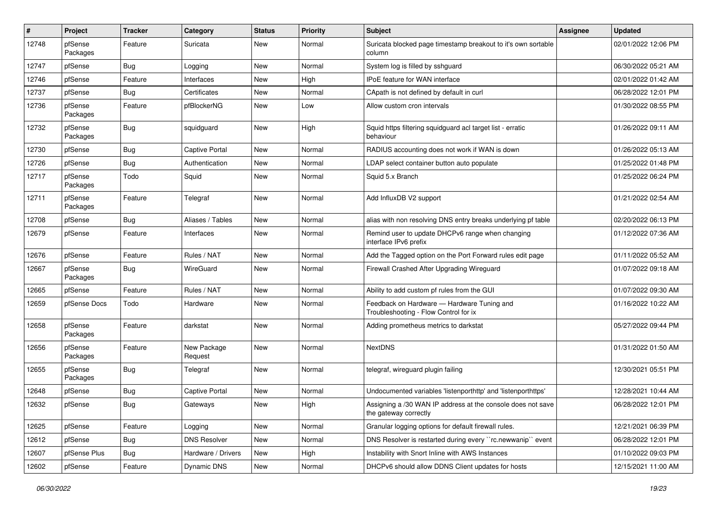| #     | Project             | <b>Tracker</b> | Category               | <b>Status</b> | <b>Priority</b> | <b>Subject</b>                                                                       | Assignee | <b>Updated</b>      |
|-------|---------------------|----------------|------------------------|---------------|-----------------|--------------------------------------------------------------------------------------|----------|---------------------|
| 12748 | pfSense<br>Packages | Feature        | Suricata               | <b>New</b>    | Normal          | Suricata blocked page timestamp breakout to it's own sortable<br>column              |          | 02/01/2022 12:06 PM |
| 12747 | pfSense             | <b>Bug</b>     | Logging                | New           | Normal          | System log is filled by sshguard                                                     |          | 06/30/2022 05:21 AM |
| 12746 | pfSense             | Feature        | Interfaces             | New           | High            | <b>IPoE</b> feature for WAN interface                                                |          | 02/01/2022 01:42 AM |
| 12737 | pfSense             | <b>Bug</b>     | Certificates           | New           | Normal          | CApath is not defined by default in curl                                             |          | 06/28/2022 12:01 PM |
| 12736 | pfSense<br>Packages | Feature        | pfBlockerNG            | New           | Low             | Allow custom cron intervals                                                          |          | 01/30/2022 08:55 PM |
| 12732 | pfSense<br>Packages | Bug            | squidguard             | New           | High            | Squid https filtering squidguard acl target list - erratic<br>behaviour              |          | 01/26/2022 09:11 AM |
| 12730 | pfSense             | <b>Bug</b>     | <b>Captive Portal</b>  | New           | Normal          | RADIUS accounting does not work if WAN is down                                       |          | 01/26/2022 05:13 AM |
| 12726 | pfSense             | <b>Bug</b>     | Authentication         | New           | Normal          | LDAP select container button auto populate                                           |          | 01/25/2022 01:48 PM |
| 12717 | pfSense<br>Packages | Todo           | Squid                  | New           | Normal          | Squid 5.x Branch                                                                     |          | 01/25/2022 06:24 PM |
| 12711 | pfSense<br>Packages | Feature        | Telegraf               | New           | Normal          | Add InfluxDB V2 support                                                              |          | 01/21/2022 02:54 AM |
| 12708 | pfSense             | Bug            | Aliases / Tables       | New           | Normal          | alias with non resolving DNS entry breaks underlying pf table                        |          | 02/20/2022 06:13 PM |
| 12679 | pfSense             | Feature        | Interfaces             | New           | Normal          | Remind user to update DHCPv6 range when changing<br>interface IPv6 prefix            |          | 01/12/2022 07:36 AM |
| 12676 | pfSense             | Feature        | Rules / NAT            | New           | Normal          | Add the Tagged option on the Port Forward rules edit page                            |          | 01/11/2022 05:52 AM |
| 12667 | pfSense<br>Packages | <b>Bug</b>     | WireGuard              | New           | Normal          | Firewall Crashed After Upgrading Wireguard                                           |          | 01/07/2022 09:18 AM |
| 12665 | pfSense             | Feature        | Rules / NAT            | New           | Normal          | Ability to add custom pf rules from the GUI                                          |          | 01/07/2022 09:30 AM |
| 12659 | pfSense Docs        | Todo           | Hardware               | New           | Normal          | Feedback on Hardware - Hardware Tuning and<br>Troubleshooting - Flow Control for ix  |          | 01/16/2022 10:22 AM |
| 12658 | pfSense<br>Packages | Feature        | darkstat               | New           | Normal          | Adding prometheus metrics to darkstat                                                |          | 05/27/2022 09:44 PM |
| 12656 | pfSense<br>Packages | Feature        | New Package<br>Request | New           | Normal          | <b>NextDNS</b>                                                                       |          | 01/31/2022 01:50 AM |
| 12655 | pfSense<br>Packages | <b>Bug</b>     | Telegraf               | New           | Normal          | telegraf, wireguard plugin failing                                                   |          | 12/30/2021 05:51 PM |
| 12648 | pfSense             | <b>Bug</b>     | <b>Captive Portal</b>  | New           | Normal          | Undocumented variables 'listenporthttp' and 'listenporthttps'                        |          | 12/28/2021 10:44 AM |
| 12632 | pfSense             | <b>Bug</b>     | Gateways               | New           | High            | Assigning a /30 WAN IP address at the console does not save<br>the gateway correctly |          | 06/28/2022 12:01 PM |
| 12625 | pfSense             | Feature        | Logging                | New           | Normal          | Granular logging options for default firewall rules.                                 |          | 12/21/2021 06:39 PM |
| 12612 | pfSense             | <b>Bug</b>     | <b>DNS Resolver</b>    | New           | Normal          | DNS Resolver is restarted during every "rc.newwanip" event                           |          | 06/28/2022 12:01 PM |
| 12607 | pfSense Plus        | <b>Bug</b>     | Hardware / Drivers     | New           | High            | Instability with Snort Inline with AWS Instances                                     |          | 01/10/2022 09:03 PM |
| 12602 | pfSense             | Feature        | Dynamic DNS            | New           | Normal          | DHCPv6 should allow DDNS Client updates for hosts                                    |          | 12/15/2021 11:00 AM |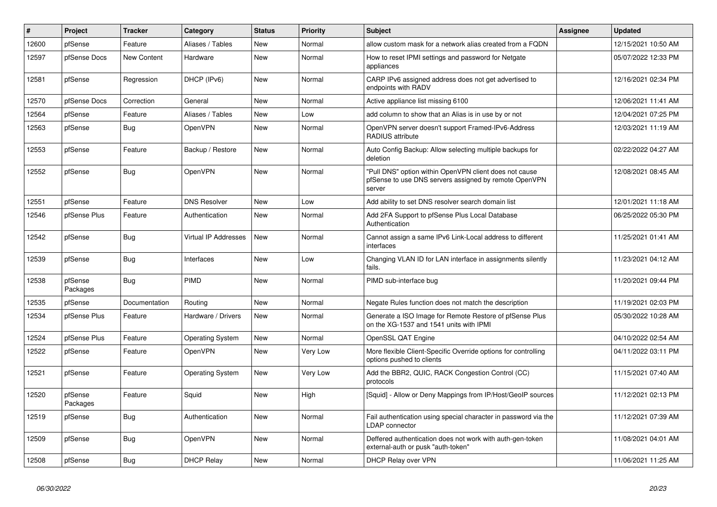| #     | Project             | <b>Tracker</b> | Category                | <b>Status</b> | <b>Priority</b> | Subject                                                                                                                   | Assignee | <b>Updated</b>      |
|-------|---------------------|----------------|-------------------------|---------------|-----------------|---------------------------------------------------------------------------------------------------------------------------|----------|---------------------|
| 12600 | pfSense             | Feature        | Aliases / Tables        | New           | Normal          | allow custom mask for a network alias created from a FQDN                                                                 |          | 12/15/2021 10:50 AM |
| 12597 | pfSense Docs        | New Content    | Hardware                | <b>New</b>    | Normal          | How to reset IPMI settings and password for Netgate<br>appliances                                                         |          | 05/07/2022 12:33 PM |
| 12581 | pfSense             | Regression     | DHCP (IPv6)             | New           | Normal          | CARP IPv6 assigned address does not get advertised to<br>endpoints with RADV                                              |          | 12/16/2021 02:34 PM |
| 12570 | pfSense Docs        | Correction     | General                 | New           | Normal          | Active appliance list missing 6100                                                                                        |          | 12/06/2021 11:41 AM |
| 12564 | pfSense             | Feature        | Aliases / Tables        | New           | Low             | add column to show that an Alias is in use by or not                                                                      |          | 12/04/2021 07:25 PM |
| 12563 | pfSense             | Bug            | OpenVPN                 | New           | Normal          | OpenVPN server doesn't support Framed-IPv6-Address<br>RADIUS attribute                                                    |          | 12/03/2021 11:19 AM |
| 12553 | pfSense             | Feature        | Backup / Restore        | New           | Normal          | Auto Config Backup: Allow selecting multiple backups for<br>deletion                                                      |          | 02/22/2022 04:27 AM |
| 12552 | pfSense             | Bug            | OpenVPN                 | New           | Normal          | 'Pull DNS" option within OpenVPN client does not cause<br>pfSense to use DNS servers assigned by remote OpenVPN<br>server |          | 12/08/2021 08:45 AM |
| 12551 | pfSense             | Feature        | <b>DNS Resolver</b>     | New           | Low             | Add ability to set DNS resolver search domain list                                                                        |          | 12/01/2021 11:18 AM |
| 12546 | pfSense Plus        | Feature        | Authentication          | New           | Normal          | Add 2FA Support to pfSense Plus Local Database<br>Authentication                                                          |          | 06/25/2022 05:30 PM |
| 12542 | pfSense             | <b>Bug</b>     | Virtual IP Addresses    | New           | Normal          | Cannot assign a same IPv6 Link-Local address to different<br>interfaces                                                   |          | 11/25/2021 01:41 AM |
| 12539 | pfSense             | <b>Bug</b>     | Interfaces              | New           | Low             | Changing VLAN ID for LAN interface in assignments silently<br>fails.                                                      |          | 11/23/2021 04:12 AM |
| 12538 | pfSense<br>Packages | Bug            | PIMD                    | New           | Normal          | PIMD sub-interface bug                                                                                                    |          | 11/20/2021 09:44 PM |
| 12535 | pfSense             | Documentation  | Routing                 | New           | Normal          | Negate Rules function does not match the description                                                                      |          | 11/19/2021 02:03 PM |
| 12534 | pfSense Plus        | Feature        | Hardware / Drivers      | New           | Normal          | Generate a ISO Image for Remote Restore of pfSense Plus<br>on the XG-1537 and 1541 units with IPMI                        |          | 05/30/2022 10:28 AM |
| 12524 | pfSense Plus        | Feature        | <b>Operating System</b> | New           | Normal          | OpenSSL QAT Engine                                                                                                        |          | 04/10/2022 02:54 AM |
| 12522 | pfSense             | Feature        | <b>OpenVPN</b>          | New           | Very Low        | More flexible Client-Specific Override options for controlling<br>options pushed to clients                               |          | 04/11/2022 03:11 PM |
| 12521 | pfSense             | Feature        | <b>Operating System</b> | New           | Very Low        | Add the BBR2, QUIC, RACK Congestion Control (CC)<br>protocols                                                             |          | 11/15/2021 07:40 AM |
| 12520 | pfSense<br>Packages | Feature        | Squid                   | New           | High            | [Squid] - Allow or Deny Mappings from IP/Host/GeoIP sources                                                               |          | 11/12/2021 02:13 PM |
| 12519 | pfSense             | <b>Bug</b>     | Authentication          | <b>New</b>    | Normal          | Fail authentication using special character in password via the<br>LDAP connector                                         |          | 11/12/2021 07:39 AM |
| 12509 | pfSense             | Bug            | OpenVPN                 | New           | Normal          | Deffered authentication does not work with auth-gen-token<br>external-auth or pusk "auth-token"                           |          | 11/08/2021 04:01 AM |
| 12508 | pfSense             | <b>Bug</b>     | <b>DHCP Relay</b>       | New           | Normal          | DHCP Relay over VPN                                                                                                       |          | 11/06/2021 11:25 AM |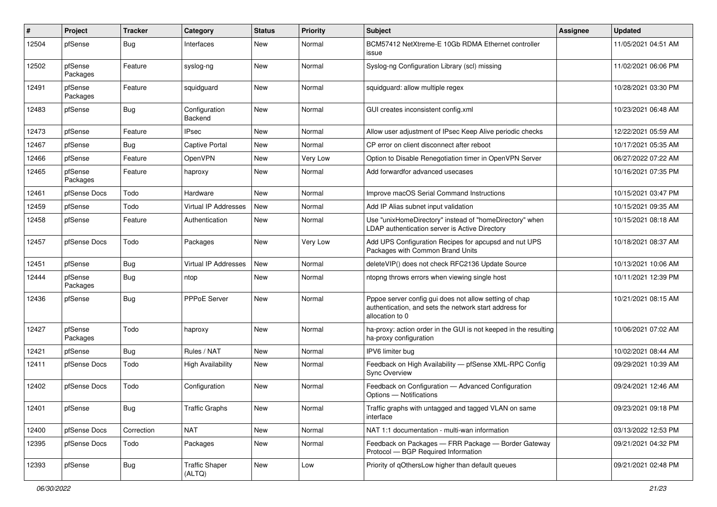| ∦     | Project             | <b>Tracker</b> | Category                        | <b>Status</b> | <b>Priority</b> | Subject                                                                                                                             | Assignee | Updated             |
|-------|---------------------|----------------|---------------------------------|---------------|-----------------|-------------------------------------------------------------------------------------------------------------------------------------|----------|---------------------|
| 12504 | pfSense             | Bug            | Interfaces                      | New           | Normal          | BCM57412 NetXtreme-E 10Gb RDMA Ethernet controller<br>issue                                                                         |          | 11/05/2021 04:51 AM |
| 12502 | pfSense<br>Packages | Feature        | syslog-ng                       | New           | Normal          | Syslog-ng Configuration Library (scl) missing                                                                                       |          | 11/02/2021 06:06 PM |
| 12491 | pfSense<br>Packages | Feature        | squidguard                      | New           | Normal          | squidguard: allow multiple regex                                                                                                    |          | 10/28/2021 03:30 PM |
| 12483 | pfSense             | Bug            | Configuration<br>Backend        | New           | Normal          | GUI creates inconsistent config.xml                                                                                                 |          | 10/23/2021 06:48 AM |
| 12473 | pfSense             | Feature        | <b>IPsec</b>                    | New           | Normal          | Allow user adjustment of IPsec Keep Alive periodic checks                                                                           |          | 12/22/2021 05:59 AM |
| 12467 | pfSense             | Bug            | <b>Captive Portal</b>           | New           | Normal          | CP error on client disconnect after reboot                                                                                          |          | 10/17/2021 05:35 AM |
| 12466 | pfSense             | Feature        | OpenVPN                         | New           | Very Low        | Option to Disable Renegotiation timer in OpenVPN Server                                                                             |          | 06/27/2022 07:22 AM |
| 12465 | pfSense<br>Packages | Feature        | haproxy                         | New           | Normal          | Add forwardfor advanced usecases                                                                                                    |          | 10/16/2021 07:35 PM |
| 12461 | pfSense Docs        | Todo           | Hardware                        | New           | Normal          | Improve macOS Serial Command Instructions                                                                                           |          | 10/15/2021 03:47 PM |
| 12459 | pfSense             | Todo           | Virtual IP Addresses            | New           | Normal          | Add IP Alias subnet input validation                                                                                                |          | 10/15/2021 09:35 AM |
| 12458 | pfSense             | Feature        | Authentication                  | New           | Normal          | Use "unixHomeDirectory" instead of "homeDirectory" when<br>LDAP authentication server is Active Directory                           |          | 10/15/2021 08:18 AM |
| 12457 | pfSense Docs        | Todo           | Packages                        | New           | Very Low        | Add UPS Configuration Recipes for apcupsd and nut UPS<br>Packages with Common Brand Units                                           |          | 10/18/2021 08:37 AM |
| 12451 | pfSense             | Bug            | Virtual IP Addresses            | New           | Normal          | deleteVIP() does not check RFC2136 Update Source                                                                                    |          | 10/13/2021 10:06 AM |
| 12444 | pfSense<br>Packages | <b>Bug</b>     | ntop                            | New           | Normal          | ntopng throws errors when viewing single host                                                                                       |          | 10/11/2021 12:39 PM |
| 12436 | pfSense             | Bug            | PPPoE Server                    | New           | Normal          | Pppoe server config gui does not allow setting of chap<br>authentication, and sets the network start address for<br>allocation to 0 |          | 10/21/2021 08:15 AM |
| 12427 | pfSense<br>Packages | Todo           | haproxy                         | New           | Normal          | ha-proxy: action order in the GUI is not keeped in the resulting<br>ha-proxy configuration                                          |          | 10/06/2021 07:02 AM |
| 12421 | pfSense             | Bug            | Rules / NAT                     | New           | Normal          | IPV6 limiter bug                                                                                                                    |          | 10/02/2021 08:44 AM |
| 12411 | pfSense Docs        | Todo           | <b>High Availability</b>        | New           | Normal          | Feedback on High Availability - pfSense XML-RPC Config<br><b>Sync Overview</b>                                                      |          | 09/29/2021 10:39 AM |
| 12402 | pfSense Docs        | Todo           | Configuration                   | New           | Normal          | Feedback on Configuration - Advanced Configuration<br>Options - Notifications                                                       |          | 09/24/2021 12:46 AM |
| 12401 | pfSense             | <b>Bug</b>     | <b>Traffic Graphs</b>           | New           | Normal          | Traffic graphs with untagged and tagged VLAN on same<br>interface                                                                   |          | 09/23/2021 09:18 PM |
| 12400 | pfSense Docs        | Correction     | <b>NAT</b>                      | New           | Normal          | NAT 1:1 documentation - multi-wan information                                                                                       |          | 03/13/2022 12:53 PM |
| 12395 | pfSense Docs        | Todo           | Packages                        | New           | Normal          | Feedback on Packages - FRR Package - Border Gateway<br>Protocol - BGP Required Information                                          |          | 09/21/2021 04:32 PM |
| 12393 | pfSense             | <b>Bug</b>     | <b>Traffic Shaper</b><br>(ALTQ) | New           | Low             | Priority of qOthersLow higher than default queues                                                                                   |          | 09/21/2021 02:48 PM |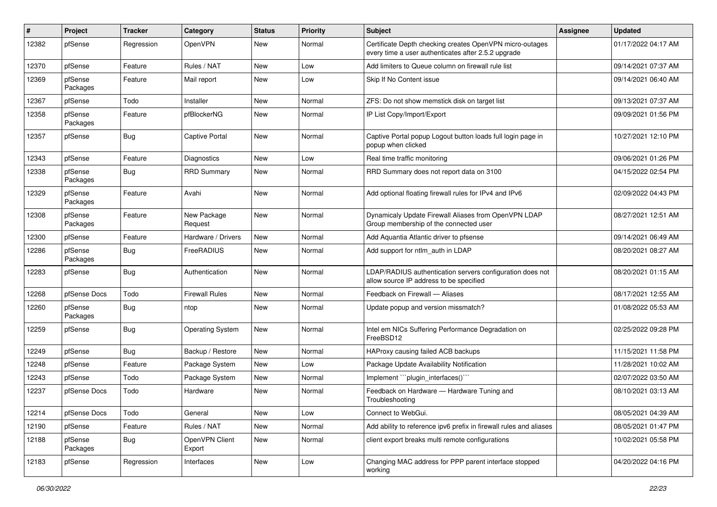| ∦     | Project             | <b>Tracker</b> | Category                 | <b>Status</b> | <b>Priority</b> | Subject                                                                                                         | Assignee | <b>Updated</b>      |
|-------|---------------------|----------------|--------------------------|---------------|-----------------|-----------------------------------------------------------------------------------------------------------------|----------|---------------------|
| 12382 | pfSense             | Regression     | OpenVPN                  | New           | Normal          | Certificate Depth checking creates OpenVPN micro-outages<br>every time a user authenticates after 2.5.2 upgrade |          | 01/17/2022 04:17 AM |
| 12370 | pfSense             | Feature        | Rules / NAT              | New           | Low             | Add limiters to Queue column on firewall rule list                                                              |          | 09/14/2021 07:37 AM |
| 12369 | pfSense<br>Packages | Feature        | Mail report              | New           | Low             | Skip If No Content issue                                                                                        |          | 09/14/2021 06:40 AM |
| 12367 | pfSense             | Todo           | Installer                | New           | Normal          | ZFS: Do not show memstick disk on target list                                                                   |          | 09/13/2021 07:37 AM |
| 12358 | pfSense<br>Packages | Feature        | pfBlockerNG              | New           | Normal          | IP List Copy/Import/Export                                                                                      |          | 09/09/2021 01:56 PM |
| 12357 | pfSense             | <b>Bug</b>     | <b>Captive Portal</b>    | New           | Normal          | Captive Portal popup Logout button loads full login page in<br>popup when clicked                               |          | 10/27/2021 12:10 PM |
| 12343 | pfSense             | Feature        | <b>Diagnostics</b>       | New           | Low             | Real time traffic monitoring                                                                                    |          | 09/06/2021 01:26 PM |
| 12338 | pfSense<br>Packages | <b>Bug</b>     | <b>RRD Summary</b>       | New           | Normal          | RRD Summary does not report data on 3100                                                                        |          | 04/15/2022 02:54 PM |
| 12329 | pfSense<br>Packages | Feature        | Avahi                    | New           | Normal          | Add optional floating firewall rules for IPv4 and IPv6                                                          |          | 02/09/2022 04:43 PM |
| 12308 | pfSense<br>Packages | Feature        | New Package<br>Request   | New           | Normal          | Dynamicaly Update Firewall Aliases from OpenVPN LDAP<br>Group membership of the connected user                  |          | 08/27/2021 12:51 AM |
| 12300 | pfSense             | Feature        | Hardware / Drivers       | New           | Normal          | Add Aquantia Atlantic driver to pfsense                                                                         |          | 09/14/2021 06:49 AM |
| 12286 | pfSense<br>Packages | <b>Bug</b>     | FreeRADIUS               | New           | Normal          | Add support for ntlm auth in LDAP                                                                               |          | 08/20/2021 08:27 AM |
| 12283 | pfSense             | <b>Bug</b>     | Authentication           | <b>New</b>    | Normal          | LDAP/RADIUS authentication servers configuration does not<br>allow source IP address to be specified            |          | 08/20/2021 01:15 AM |
| 12268 | pfSense Docs        | Todo           | <b>Firewall Rules</b>    | <b>New</b>    | Normal          | Feedback on Firewall - Aliases                                                                                  |          | 08/17/2021 12:55 AM |
| 12260 | pfSense<br>Packages | Bug            | ntop                     | New           | Normal          | Update popup and version missmatch?                                                                             |          | 01/08/2022 05:53 AM |
| 12259 | pfSense             | <b>Bug</b>     | <b>Operating System</b>  | New           | Normal          | Intel em NICs Suffering Performance Degradation on<br>FreeBSD12                                                 |          | 02/25/2022 09:28 PM |
| 12249 | pfSense             | Bug            | Backup / Restore         | New           | Normal          | HAProxy causing failed ACB backups                                                                              |          | 11/15/2021 11:58 PM |
| 12248 | pfSense             | Feature        | Package System           | New           | Low             | Package Update Availability Notification                                                                        |          | 11/28/2021 10:02 AM |
| 12243 | pfSense             | Todo           | Package System           | New           | Normal          | Implement "plugin_interfaces()""                                                                                |          | 02/07/2022 03:50 AM |
| 12237 | pfSense Docs        | Todo           | Hardware                 | New           | Normal          | Feedback on Hardware - Hardware Tuning and<br>Troubleshooting                                                   |          | 08/10/2021 03:13 AM |
| 12214 | pfSense Docs        | Todo           | General                  | New           | Low             | Connect to WebGui.                                                                                              |          | 08/05/2021 04:39 AM |
| 12190 | pfSense             | Feature        | Rules / NAT              | New           | Normal          | Add ability to reference ipv6 prefix in firewall rules and aliases                                              |          | 08/05/2021 01:47 PM |
| 12188 | pfSense<br>Packages | <b>Bug</b>     | OpenVPN Client<br>Export | New           | Normal          | client export breaks multi remote configurations                                                                |          | 10/02/2021 05:58 PM |
| 12183 | pfSense             | Regression     | Interfaces               | New           | Low             | Changing MAC address for PPP parent interface stopped<br>working                                                |          | 04/20/2022 04:16 PM |